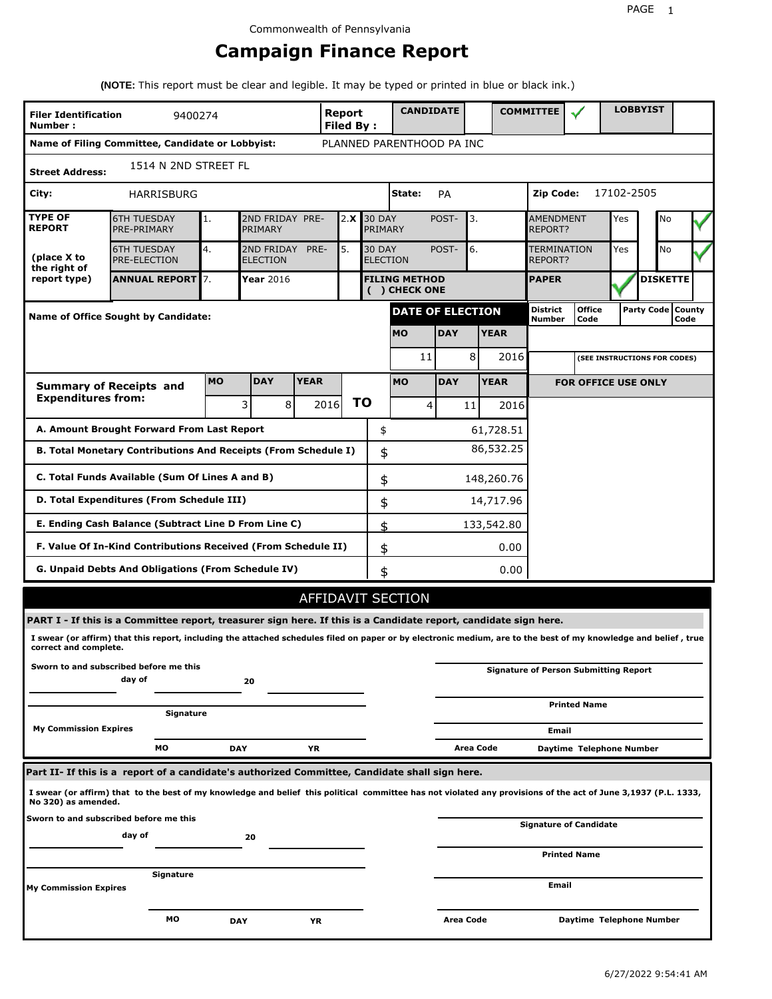# **Campaign Finance Report**

**(NOTE:** This report must be clear and legible. It may be typed or printed in blue or black ink.)

| <b>Filer Identification</b><br>Number: | 9400274                                                                                                                                                         |           |                               |             | <b>Report</b><br><b>Filed By:</b> |                                  | <b>CANDIDATE</b>                     |                  |             | <b>COMMITTEE</b>                             |                               |            | <b>LOBBYIST</b>              |                             |
|----------------------------------------|-----------------------------------------------------------------------------------------------------------------------------------------------------------------|-----------|-------------------------------|-------------|-----------------------------------|----------------------------------|--------------------------------------|------------------|-------------|----------------------------------------------|-------------------------------|------------|------------------------------|-----------------------------|
|                                        | Name of Filing Committee, Candidate or Lobbyist:                                                                                                                |           |                               |             |                                   |                                  | PLANNED PARENTHOOD PA INC            |                  |             |                                              |                               |            |                              |                             |
| <b>Street Address:</b>                 | 1514 N 2ND STREET FL                                                                                                                                            |           |                               |             |                                   |                                  |                                      |                  |             |                                              |                               |            |                              |                             |
| City:                                  | HARRISBURG                                                                                                                                                      |           |                               |             |                                   |                                  | State:                               | <b>PA</b>        |             | Zip Code:                                    |                               | 17102-2505 |                              |                             |
| <b>TYPE OF</b><br><b>REPORT</b>        | <b>6TH TUESDAY</b><br>PRE-PRIMARY                                                                                                                               | 1.        | 2ND FRIDAY PRE-<br>PRIMARY    |             | 2.X                               | <b>30 DAY</b><br>PRIMARY         |                                      | POST-            | 3.          | <b>AMENDMENT</b><br><b>REPORT?</b>           |                               | Yes        | No                           |                             |
| (place X to<br>the right of            | <b>6TH TUESDAY</b><br><b>PRE-ELECTION</b>                                                                                                                       | 4.        | 2ND FRIDAY<br><b>ELECTION</b> | PRE-        | 5.                                | <b>30 DAY</b><br><b>ELECTION</b> |                                      | POST-            | 6.          | REPORT?                                      | TERMINATION                   | Yes        | No                           |                             |
| report type)                           | <b>ANNUAL REPORT</b> 7.                                                                                                                                         |           | Year 2016                     |             |                                   |                                  | <b>FILING METHOD</b><br>() CHECK ONE |                  |             | <b>PAPER</b>                                 |                               |            | <b>DISKETTE</b>              |                             |
|                                        | Name of Office Sought by Candidate:                                                                                                                             |           |                               |             |                                   |                                  | <b>DATE OF ELECTION</b>              |                  |             | <b>District</b><br><b>Number</b>             | <b>Office</b><br>Code         |            |                              | Party Code   County<br>Code |
|                                        |                                                                                                                                                                 |           |                               |             |                                   |                                  | <b>MO</b>                            | <b>DAY</b>       | <b>YEAR</b> |                                              |                               |            |                              |                             |
|                                        |                                                                                                                                                                 |           |                               |             |                                   |                                  | 11                                   |                  | 8           | 2016                                         |                               |            | (SEE INSTRUCTIONS FOR CODES) |                             |
|                                        | <b>Summary of Receipts and</b>                                                                                                                                  | <b>MO</b> | <b>DAY</b>                    | <b>YEAR</b> |                                   |                                  | <b>MO</b>                            | <b>DAY</b>       | <b>YEAR</b> |                                              | <b>FOR OFFICE USE ONLY</b>    |            |                              |                             |
| <b>Expenditures from:</b>              |                                                                                                                                                                 |           | 3<br>8                        |             | 2016                              | <b>TO</b>                        | 4                                    |                  | 11          | 2016                                         |                               |            |                              |                             |
|                                        | A. Amount Brought Forward From Last Report                                                                                                                      |           |                               |             |                                   | \$                               |                                      |                  | 61,728.51   |                                              |                               |            |                              |                             |
|                                        | B. Total Monetary Contributions And Receipts (From Schedule I)                                                                                                  |           |                               |             |                                   | \$                               |                                      |                  | 86,532.25   |                                              |                               |            |                              |                             |
|                                        | C. Total Funds Available (Sum Of Lines A and B)                                                                                                                 |           |                               |             |                                   | \$                               |                                      |                  | 148,260.76  |                                              |                               |            |                              |                             |
|                                        | D. Total Expenditures (From Schedule III)                                                                                                                       |           |                               |             |                                   | \$                               |                                      |                  | 14,717.96   |                                              |                               |            |                              |                             |
|                                        | E. Ending Cash Balance (Subtract Line D From Line C)                                                                                                            |           |                               |             |                                   | \$                               |                                      |                  | 133,542.80  |                                              |                               |            |                              |                             |
|                                        | F. Value Of In-Kind Contributions Received (From Schedule II)                                                                                                   |           |                               |             |                                   | \$                               |                                      |                  | 0.00        |                                              |                               |            |                              |                             |
|                                        | <b>G. Unpaid Debts And Obligations (From Schedule IV)</b>                                                                                                       |           |                               |             |                                   | \$                               |                                      |                  | 0.00        |                                              |                               |            |                              |                             |
|                                        |                                                                                                                                                                 |           |                               |             |                                   |                                  | <b>AFFIDAVIT SECTION</b>             |                  |             |                                              |                               |            |                              |                             |
|                                        | PART I - If this is a Committee report, treasurer sign here. If this is a Candidate report, candidate sign here.                                                |           |                               |             |                                   |                                  |                                      |                  |             |                                              |                               |            |                              |                             |
| correct and complete.                  | I swear (or affirm) that this report, including the attached schedules filed on paper or by electronic medium, are to the best of my knowledge and belief, true |           |                               |             |                                   |                                  |                                      |                  |             |                                              |                               |            |                              |                             |
|                                        | Sworn to and subscribed before me this<br>day of                                                                                                                |           | 20                            |             |                                   |                                  |                                      |                  |             | <b>Signature of Person Submitting Report</b> |                               |            |                              |                             |
|                                        | Signature                                                                                                                                                       |           |                               |             |                                   |                                  |                                      |                  |             |                                              | <b>Printed Name</b>           |            |                              |                             |
| <b>My Commission Expires</b>           |                                                                                                                                                                 |           |                               |             |                                   |                                  |                                      |                  |             |                                              | Email                         |            |                              |                             |
|                                        | МO                                                                                                                                                              |           | <b>DAY</b>                    | YR          |                                   |                                  |                                      |                  | Area Code   |                                              | Daytime Telephone Number      |            |                              |                             |
|                                        | Part II- If this is a report of a candidate's authorized Committee, Candidate shall sign here.                                                                  |           |                               |             |                                   |                                  |                                      |                  |             |                                              |                               |            |                              |                             |
| No 320) as amended.                    | I swear (or affirm) that to the best of my knowledge and belief this political committee has not violated any provisions of the act of June 3,1937 (P.L. 1333,  |           |                               |             |                                   |                                  |                                      |                  |             |                                              |                               |            |                              |                             |
|                                        | Sworn to and subscribed before me this<br>day of                                                                                                                |           | 20                            |             |                                   |                                  |                                      |                  |             |                                              | <b>Signature of Candidate</b> |            |                              |                             |
|                                        |                                                                                                                                                                 |           |                               |             |                                   |                                  |                                      |                  |             |                                              | <b>Printed Name</b>           |            |                              |                             |
| My Commission Expires                  | Signature                                                                                                                                                       |           |                               |             |                                   |                                  |                                      |                  |             |                                              | Email                         |            |                              |                             |
|                                        | МO                                                                                                                                                              |           | <b>DAY</b>                    | YR          |                                   |                                  |                                      | <b>Area Code</b> |             |                                              | Daytime Telephone Number      |            |                              |                             |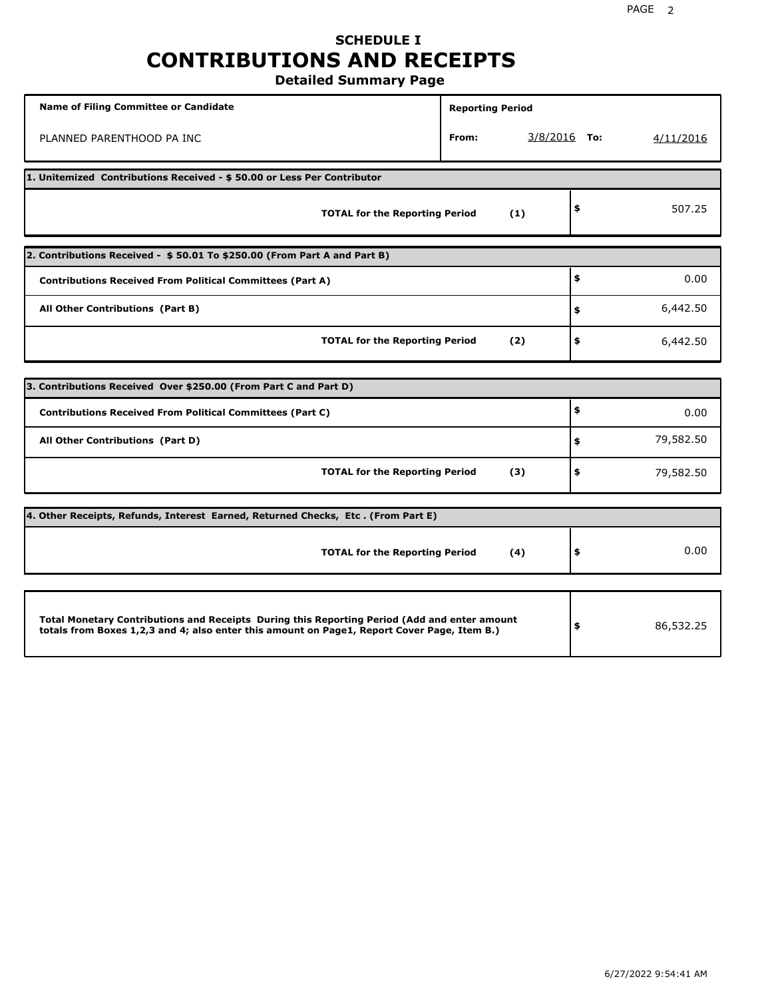# **SCHEDULE I CONTRIBUTIONS AND RECEIPTS**

**Detailed Summary Page**

| <b>Name of Filing Committee or Candidate</b>                                                                                                                                                | <b>Reporting Period</b> |                |           |
|---------------------------------------------------------------------------------------------------------------------------------------------------------------------------------------------|-------------------------|----------------|-----------|
| PLANNED PARENTHOOD PA INC                                                                                                                                                                   | From:                   | $3/8/2016$ To: | 4/11/2016 |
| 1. Unitemized Contributions Received - \$50.00 or Less Per Contributor                                                                                                                      |                         |                |           |
| <b>TOTAL for the Reporting Period</b>                                                                                                                                                       | (1)                     | \$             | 507.25    |
| 2. Contributions Received - \$50.01 To \$250.00 (From Part A and Part B)                                                                                                                    |                         |                |           |
| <b>Contributions Received From Political Committees (Part A)</b>                                                                                                                            |                         | \$             | 0.00      |
| All Other Contributions (Part B)                                                                                                                                                            |                         | \$             | 6,442.50  |
| <b>TOTAL for the Reporting Period</b>                                                                                                                                                       | (2)                     | \$             | 6,442.50  |
| 3. Contributions Received Over \$250.00 (From Part C and Part D)                                                                                                                            |                         |                |           |
|                                                                                                                                                                                             |                         | \$             |           |
| <b>Contributions Received From Political Committees (Part C)</b>                                                                                                                            |                         |                | 0.00      |
| All Other Contributions (Part D)                                                                                                                                                            |                         | \$             | 79,582.50 |
| <b>TOTAL for the Reporting Period</b>                                                                                                                                                       | (3)                     | \$             | 79,582.50 |
| [4. Other Receipts, Refunds, Interest Earned, Returned Checks, Etc. (From Part E)                                                                                                           |                         |                |           |
| <b>TOTAL for the Reporting Period</b>                                                                                                                                                       | (4)                     | \$             | 0.00      |
|                                                                                                                                                                                             |                         |                |           |
| Total Monetary Contributions and Receipts During this Reporting Period (Add and enter amount<br>totals from Boxes 1,2,3 and 4; also enter this amount on Page1, Report Cover Page, Item B.) |                         | \$             | 86,532.25 |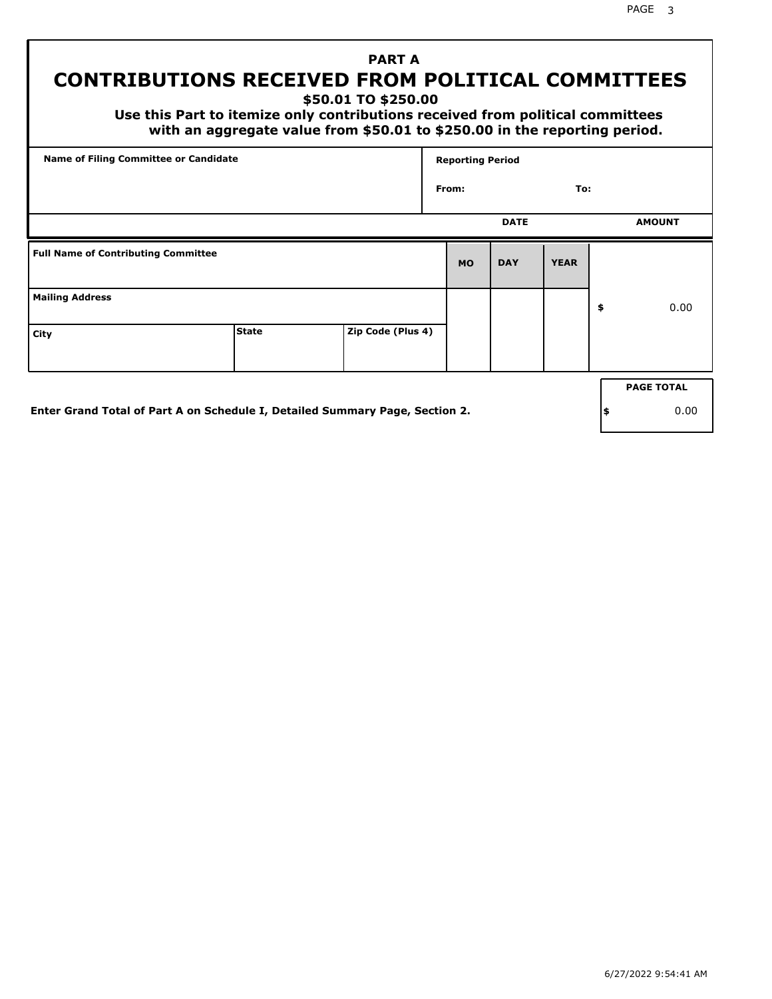# **PART A CONTRIBUTIONS RECEIVED FROM POLITICAL COMMITTEES**

**\$50.01 TO \$250.00**

 **Use this Part to itemize only contributions received from political committees with an aggregate value from \$50.01 to \$250.00 in the reporting period.**

| Name of Filing Committee or Candidate      |              |                   |           | <b>Reporting Period</b> |             |                   |
|--------------------------------------------|--------------|-------------------|-----------|-------------------------|-------------|-------------------|
|                                            |              |                   | From:     |                         | To:         |                   |
|                                            |              |                   |           | <b>DATE</b>             |             | <b>AMOUNT</b>     |
| <b>Full Name of Contributing Committee</b> |              |                   | <b>MO</b> | <b>DAY</b>              | <b>YEAR</b> |                   |
| <b>Mailing Address</b>                     |              |                   |           |                         |             | \$<br>0.00        |
| City                                       | <b>State</b> | Zip Code (Plus 4) |           |                         |             |                   |
|                                            |              |                   |           |                         |             | <b>PAGE TOTAL</b> |
|                                            |              |                   |           |                         |             |                   |

**Enter Grand Total of Part A on Schedule I, Detailed Summary Page, Section 2.**

**\$** 0.00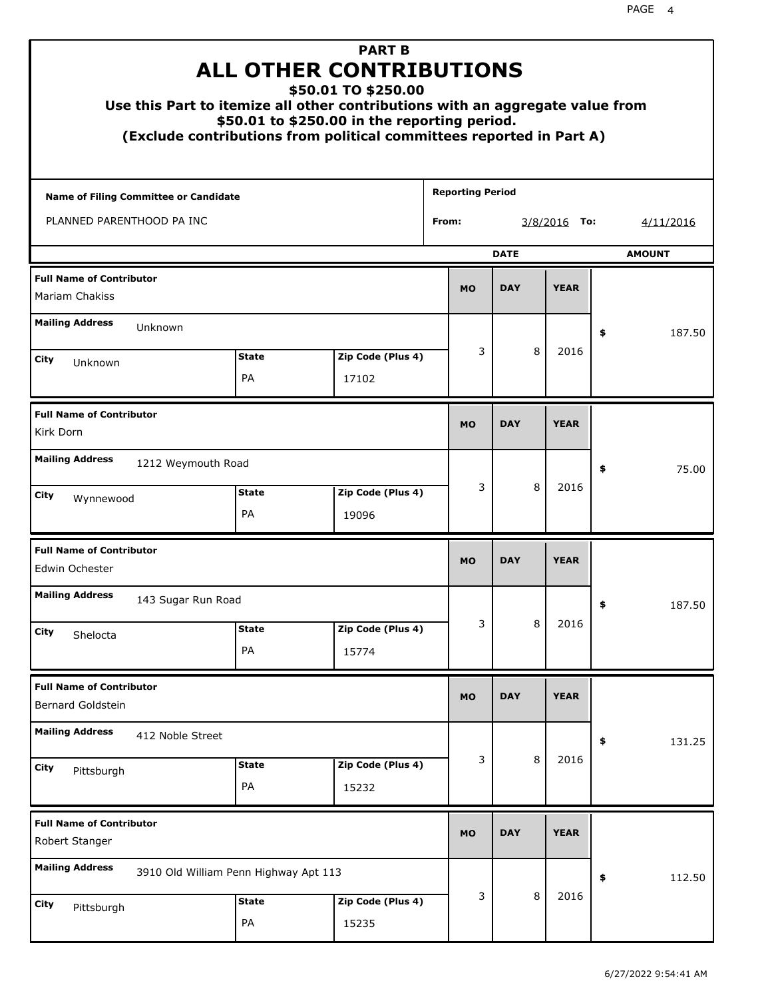| Use this Part to itemize all other contributions with an aggregate value from |                    | <b>PART B</b><br><b>ALL OTHER CONTRIBUTIONS</b><br>\$50.01 TO \$250.00<br>\$50.01 to \$250.00 in the reporting period.<br>(Exclude contributions from political committees reported in Part A) |                         |             |                |               |
|-------------------------------------------------------------------------------|--------------------|------------------------------------------------------------------------------------------------------------------------------------------------------------------------------------------------|-------------------------|-------------|----------------|---------------|
| Name of Filing Committee or Candidate                                         |                    |                                                                                                                                                                                                | <b>Reporting Period</b> |             |                |               |
| PLANNED PARENTHOOD PA INC                                                     |                    |                                                                                                                                                                                                | From:                   |             | $3/8/2016$ To: | 4/11/2016     |
|                                                                               |                    |                                                                                                                                                                                                |                         | <b>DATE</b> |                | <b>AMOUNT</b> |
| <b>Full Name of Contributor</b><br>Mariam Chakiss                             |                    |                                                                                                                                                                                                | <b>MO</b>               | <b>DAY</b>  | <b>YEAR</b>    |               |
| <b>Mailing Address</b><br>Unknown                                             |                    |                                                                                                                                                                                                |                         |             |                | \$<br>187.50  |
| City                                                                          | <b>State</b>       | Zip Code (Plus 4)                                                                                                                                                                              | 3                       | 8           | 2016           |               |
| Unknown                                                                       | PA                 | 17102                                                                                                                                                                                          |                         |             |                |               |
| <b>Full Name of Contributor</b><br>Kirk Dorn                                  |                    |                                                                                                                                                                                                | <b>MO</b>               | <b>DAY</b>  | <b>YEAR</b>    |               |
| <b>Mailing Address</b><br>1212 Weymouth Road                                  |                    |                                                                                                                                                                                                |                         |             |                | 75.00<br>\$   |
| City<br>Wynnewood                                                             | <b>State</b><br>PA | Zip Code (Plus 4)<br>19096                                                                                                                                                                     | 3                       | 8           | 2016           |               |
| <b>Full Name of Contributor</b><br>Edwin Ochester                             |                    |                                                                                                                                                                                                | <b>MO</b>               | <b>DAY</b>  | <b>YEAR</b>    |               |
| <b>Mailing Address</b><br>143 Sugar Run Road                                  |                    |                                                                                                                                                                                                |                         |             |                | 187.50<br>÷,  |
| City<br>Shelocta                                                              | <b>State</b>       | Zip Code (Plus 4)                                                                                                                                                                              | 3                       | 8           | 2016           |               |
|                                                                               | PA                 | 15774                                                                                                                                                                                          |                         |             |                |               |
| <b>Full Name of Contributor</b><br>Bernard Goldstein                          |                    |                                                                                                                                                                                                | <b>MO</b>               | <b>DAY</b>  | <b>YEAR</b>    |               |
| <b>Mailing Address</b><br>412 Noble Street                                    |                    |                                                                                                                                                                                                |                         |             |                | \$<br>131.25  |
| <b>City</b><br>Pittsburgh                                                     | <b>State</b><br>PA | Zip Code (Plus 4)<br>15232                                                                                                                                                                     | 3                       | 8           | 2016           |               |
| <b>Full Name of Contributor</b><br>Robert Stanger                             |                    |                                                                                                                                                                                                | <b>MO</b>               | <b>DAY</b>  | <b>YEAR</b>    |               |
| <b>Mailing Address</b><br>3910 Old William Penn Highway Apt 113               |                    |                                                                                                                                                                                                |                         |             |                | \$<br>112.50  |
| City<br>Pittsburgh                                                            | <b>State</b><br>PA | Zip Code (Plus 4)<br>15235                                                                                                                                                                     | 3                       | 8           | 2016           |               |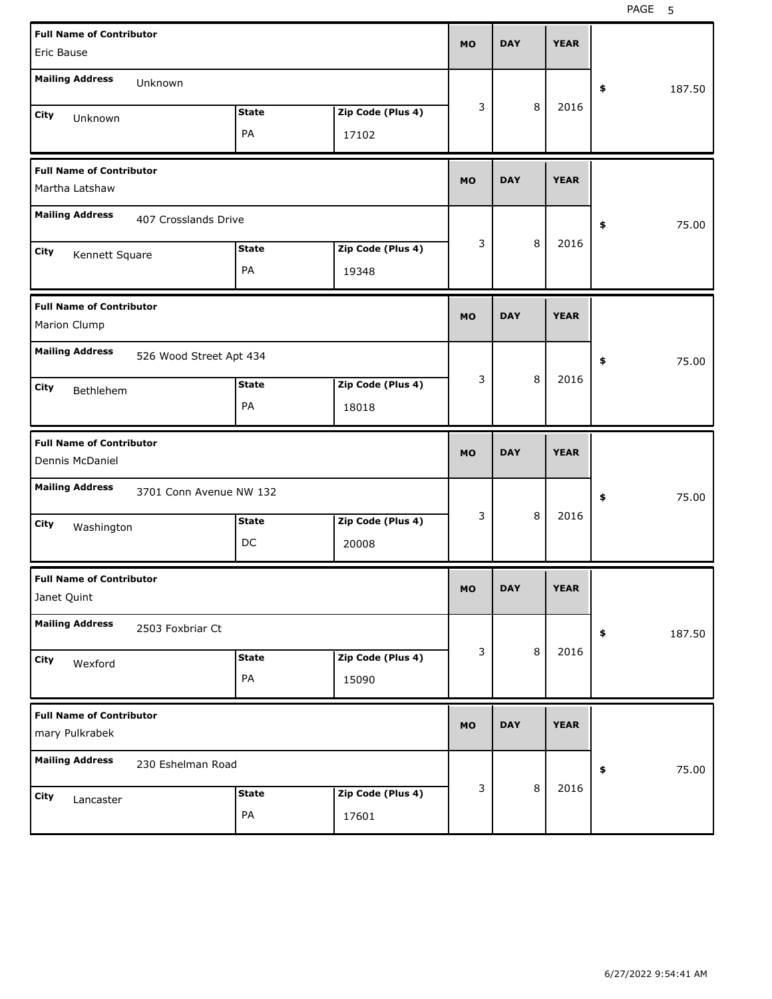| <b>Full Name of Contributor</b>                    |                         |                   | <b>MO</b> | <b>DAY</b> | <b>YEAR</b> |              |
|----------------------------------------------------|-------------------------|-------------------|-----------|------------|-------------|--------------|
| Eric Bause                                         |                         |                   |           |            |             |              |
| <b>Mailing Address</b><br>Unknown                  |                         |                   |           |            |             | \$<br>187.50 |
| City<br>Unknown                                    | <b>State</b>            | Zip Code (Plus 4) | 3         | 8          | 2016        |              |
|                                                    | PA                      | 17102             |           |            |             |              |
| <b>Full Name of Contributor</b><br>Martha Latshaw  |                         |                   | <b>MO</b> | <b>DAY</b> | <b>YEAR</b> |              |
| <b>Mailing Address</b>                             |                         |                   |           |            |             |              |
| 407 Crosslands Drive                               |                         |                   |           |            |             | \$<br>75.00  |
| City<br>Kennett Square                             | <b>State</b>            | Zip Code (Plus 4) | 3         | 8          | 2016        |              |
|                                                    | PA                      | 19348             |           |            |             |              |
| <b>Full Name of Contributor</b>                    |                         |                   | <b>MO</b> | <b>DAY</b> | <b>YEAR</b> |              |
| Marion Clump                                       |                         |                   |           |            |             |              |
| <b>Mailing Address</b>                             | 526 Wood Street Apt 434 |                   |           |            |             | 75.00<br>\$  |
| City<br>Bethlehem                                  | <b>State</b>            | Zip Code (Plus 4) | 3         | 8          | 2016        |              |
|                                                    | PA                      | 18018             |           |            |             |              |
|                                                    |                         |                   |           |            |             |              |
| <b>Full Name of Contributor</b><br>Dennis McDaniel |                         |                   | <b>MO</b> | <b>DAY</b> | <b>YEAR</b> |              |
| <b>Mailing Address</b>                             | 3701 Conn Avenue NW 132 |                   |           |            |             | 75.00<br>\$  |
|                                                    | <b>State</b>            | Zip Code (Plus 4) | 3         | 8          | 2016        |              |
| City<br>Washington                                 | DC                      | 20008             |           |            |             |              |
| <b>Full Name of Contributor</b><br>Janet Quint     |                         |                   | мo        | DAY        | <b>YEAR</b> |              |
| <b>Mailing Address</b><br>2503 Foxbriar Ct         |                         |                   |           |            |             | 187.50<br>\$ |
| City                                               | <b>State</b>            | Zip Code (Plus 4) | 3         | 8          | 2016        |              |
| Wexford                                            | PA                      | 15090             |           |            |             |              |
| <b>Full Name of Contributor</b><br>mary Pulkrabek  |                         |                   | <b>MO</b> | <b>DAY</b> | <b>YEAR</b> |              |
| <b>Mailing Address</b><br>230 Eshelman Road        |                         |                   |           |            |             | 75.00<br>\$  |
| City<br>Lancaster                                  | <b>State</b>            | Zip Code (Plus 4) | 3         | 8          | 2016        |              |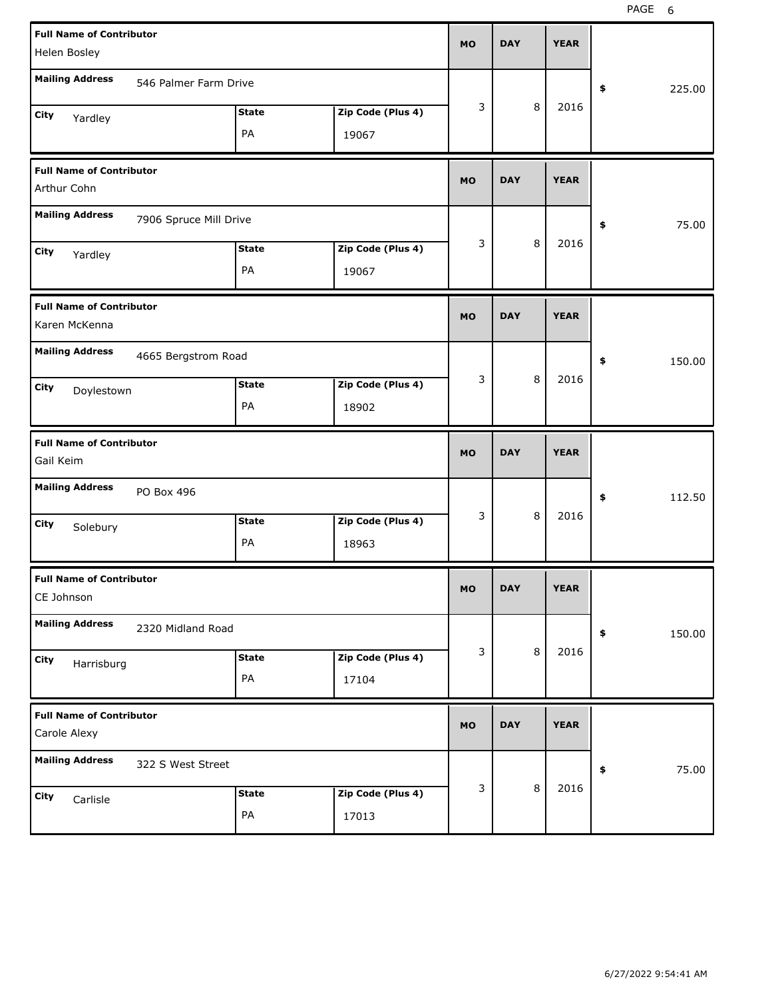| <b>Full Name of Contributor</b>                  |                        |              |                   |           |            |         |             |              |
|--------------------------------------------------|------------------------|--------------|-------------------|-----------|------------|---------|-------------|--------------|
| Helen Bosley                                     |                        |              |                   | <b>MO</b> | <b>DAY</b> |         | <b>YEAR</b> |              |
| <b>Mailing Address</b>                           | 546 Palmer Farm Drive  |              |                   |           |            |         |             | \$<br>225.00 |
| City<br>Yardley                                  |                        | <b>State</b> | Zip Code (Plus 4) | 3         |            | 8       | 2016        |              |
|                                                  |                        | PA           | 19067             |           |            |         |             |              |
| <b>Full Name of Contributor</b><br>Arthur Cohn   |                        |              |                   | <b>MO</b> | <b>DAY</b> |         | <b>YEAR</b> |              |
| <b>Mailing Address</b>                           | 7906 Spruce Mill Drive |              |                   |           |            |         |             | \$<br>75.00  |
| City<br>Yardley                                  |                        | <b>State</b> | Zip Code (Plus 4) | 3         |            | 8       | 2016        |              |
|                                                  |                        | PA           | 19067             |           |            |         |             |              |
| <b>Full Name of Contributor</b><br>Karen McKenna |                        |              |                   | <b>MO</b> | <b>DAY</b> |         | <b>YEAR</b> |              |
| <b>Mailing Address</b>                           | 4665 Bergstrom Road    |              |                   |           |            |         |             | \$<br>150.00 |
| City<br>Doylestown                               |                        | <b>State</b> | Zip Code (Plus 4) | 3         |            | 8       | 2016        |              |
|                                                  |                        | PA           | 18902             |           |            |         |             |              |
|                                                  |                        |              |                   |           |            |         |             |              |
| <b>Full Name of Contributor</b><br>Gail Keim     |                        |              |                   | <b>MO</b> | <b>DAY</b> |         | <b>YEAR</b> |              |
| <b>Mailing Address</b>                           | PO Box 496             |              |                   |           |            |         |             | \$<br>112.50 |
| City                                             |                        | <b>State</b> | Zip Code (Plus 4) | 3         |            | 8       | 2016        |              |
| Solebury                                         |                        | PA           | 18963             |           |            |         |             |              |
| <b>Full Name of Contributor</b><br>CE Johnson    |                        |              |                   | <b>MO</b> | <b>DAY</b> |         | <b>YEAR</b> |              |
| <b>Mailing Address</b>                           | 2320 Midland Road      |              |                   |           |            |         |             | \$<br>150.00 |
| City                                             |                        | <b>State</b> | Zip Code (Plus 4) | 3         |            | $\,8\,$ | 2016        |              |
| Harrisburg                                       |                        | PA           | 17104             |           |            |         |             |              |
| <b>Full Name of Contributor</b><br>Carole Alexy  |                        |              |                   | <b>MO</b> | <b>DAY</b> |         | <b>YEAR</b> |              |
| <b>Mailing Address</b>                           | 322 S West Street      |              |                   |           |            |         |             | \$<br>75.00  |
| City<br>Carlisle                                 |                        | <b>State</b> | Zip Code (Plus 4) | 3         |            | $\,8\,$ | 2016        |              |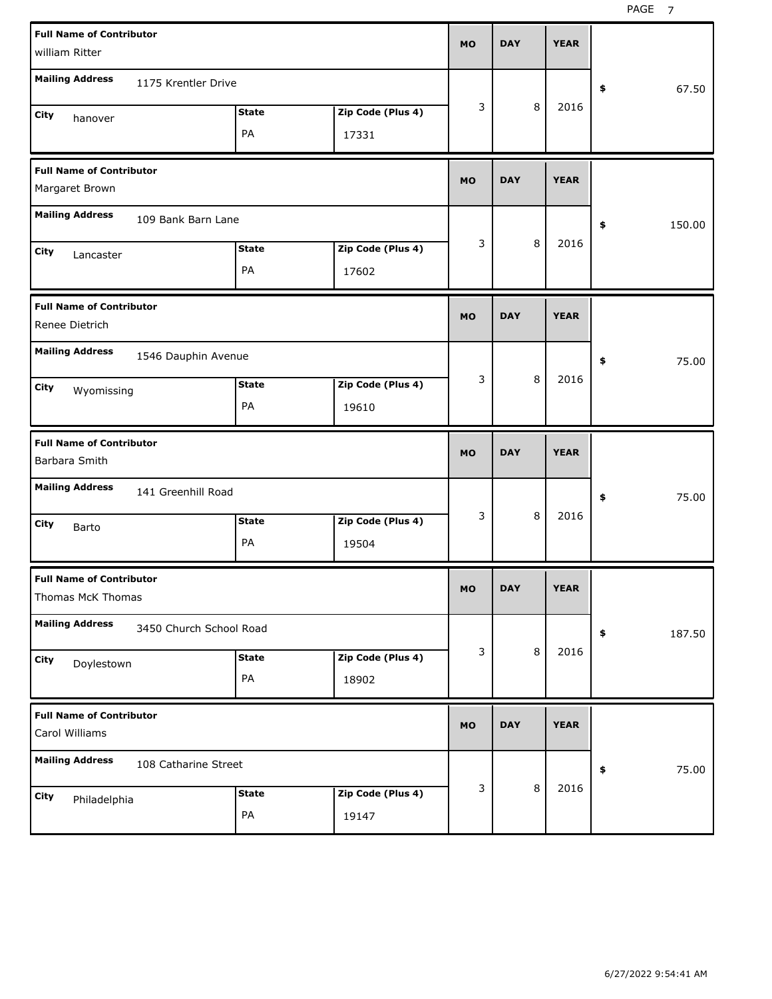| <b>Full Name of Contributor</b><br>william Ritter                                                |                            | <b>MO</b> | <b>DAY</b> | <b>YEAR</b> |              |
|--------------------------------------------------------------------------------------------------|----------------------------|-----------|------------|-------------|--------------|
| <b>Mailing Address</b><br>1175 Krentler Drive                                                    |                            |           |            |             | 67.50<br>\$  |
| <b>State</b><br>City<br>hanover<br>PA                                                            | Zip Code (Plus 4)<br>17331 | 3         | 8          | 2016        |              |
| <b>Full Name of Contributor</b><br>Margaret Brown                                                |                            | <b>MO</b> | <b>DAY</b> | <b>YEAR</b> |              |
| <b>Mailing Address</b><br>109 Bank Barn Lane                                                     |                            |           |            |             | 150.00<br>\$ |
| <b>State</b><br><b>City</b><br>Lancaster<br>PA                                                   | Zip Code (Plus 4)<br>17602 | 3         | 8          | 2016        |              |
| <b>Full Name of Contributor</b><br>Renee Dietrich                                                |                            | <b>MO</b> | <b>DAY</b> | <b>YEAR</b> |              |
| <b>Mailing Address</b><br>1546 Dauphin Avenue<br><b>State</b><br><b>City</b><br>Wyomissing<br>PA | Zip Code (Plus 4)<br>19610 | 3         | 8          | 2016        | 75.00<br>\$  |
|                                                                                                  |                            |           |            |             |              |
| <b>Full Name of Contributor</b><br>Barbara Smith                                                 |                            | <b>MO</b> | <b>DAY</b> | <b>YEAR</b> |              |
| <b>Mailing Address</b><br>141 Greenhill Road                                                     |                            |           |            |             | 75.00<br>\$  |
| <b>State</b><br>City<br>Barto<br>PA                                                              | Zip Code (Plus 4)<br>19504 | 3         | 8          | 2016        |              |
| <b>Full Name of Contributor</b><br>Thomas McK Thomas                                             |                            | <b>MO</b> | <b>DAY</b> | <b>YEAR</b> |              |
| <b>Mailing Address</b><br>3450 Church School Road                                                |                            |           |            |             | 187.50<br>\$ |
| <b>State</b><br>City<br>Doylestown<br>PA                                                         | Zip Code (Plus 4)<br>18902 | 3         | 8          | 2016        |              |
| <b>Full Name of Contributor</b><br>Carol Williams                                                |                            | <b>MO</b> | <b>DAY</b> | <b>YEAR</b> |              |
| <b>Mailing Address</b><br>108 Catharine Street                                                   |                            | 3         | 8          | 2016        | 75.00<br>\$  |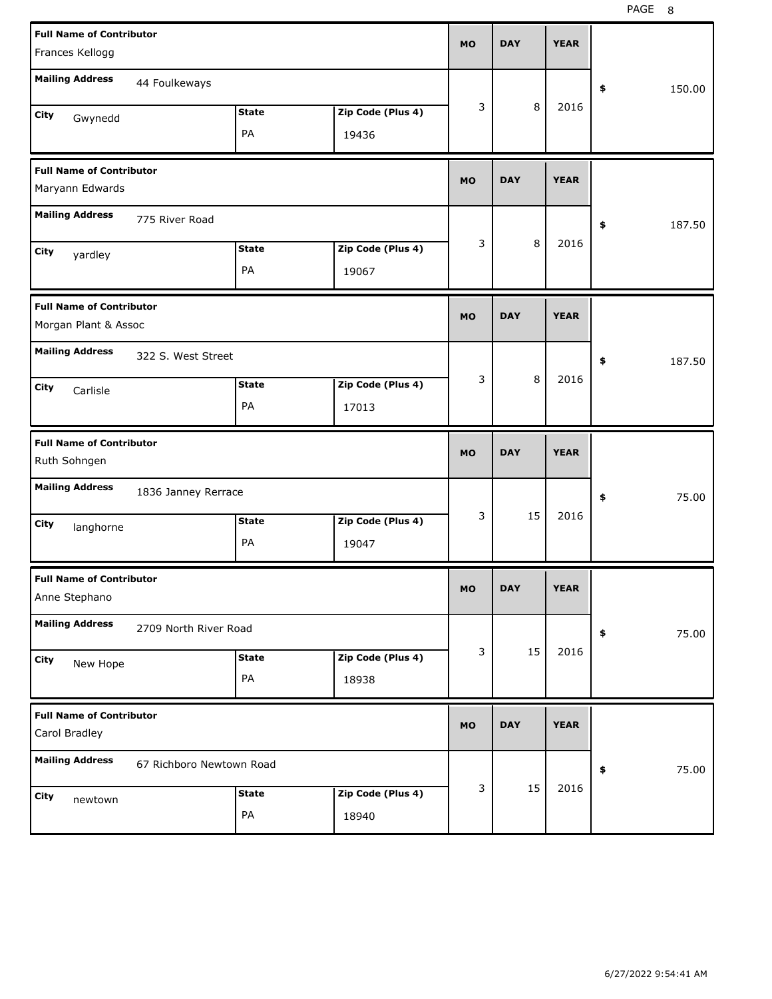| <b>Full Name of Contributor</b>                    |                          |              |                   | <b>MO</b> | <b>DAY</b> | <b>YEAR</b> |              |
|----------------------------------------------------|--------------------------|--------------|-------------------|-----------|------------|-------------|--------------|
| Frances Kellogg                                    |                          |              |                   |           |            |             |              |
| <b>Mailing Address</b>                             | 44 Foulkeways            |              |                   |           |            |             | \$<br>150.00 |
| City<br>Gwynedd                                    |                          | <b>State</b> | Zip Code (Plus 4) | 3         | 8          | 2016        |              |
|                                                    |                          | PA           | 19436             |           |            |             |              |
| <b>Full Name of Contributor</b><br>Maryann Edwards |                          |              |                   | <b>MO</b> | <b>DAY</b> | <b>YEAR</b> |              |
| <b>Mailing Address</b>                             | 775 River Road           |              |                   |           |            |             | \$<br>187.50 |
|                                                    |                          | <b>State</b> | Zip Code (Plus 4) | 3         | 8          | 2016        |              |
| City<br>yardley                                    |                          | PA           | 19067             |           |            |             |              |
| <b>Full Name of Contributor</b>                    |                          |              |                   | <b>MO</b> | <b>DAY</b> | <b>YEAR</b> |              |
| Morgan Plant & Assoc                               |                          |              |                   |           |            |             |              |
| <b>Mailing Address</b>                             | 322 S. West Street       |              |                   |           |            |             | \$<br>187.50 |
| City<br>Carlisle                                   |                          | <b>State</b> | Zip Code (Plus 4) | 3         | 8          | 2016        |              |
|                                                    |                          | PA           | 17013             |           |            |             |              |
|                                                    |                          |              |                   |           |            |             |              |
| <b>Full Name of Contributor</b><br>Ruth Sohngen    |                          |              |                   | <b>MO</b> | <b>DAY</b> | <b>YEAR</b> |              |
| <b>Mailing Address</b>                             | 1836 Janney Rerrace      |              |                   |           |            |             | 75.00<br>\$  |
| City                                               |                          | <b>State</b> | Zip Code (Plus 4) | 3         | 15         | 2016        |              |
| langhorne                                          |                          | PA           | 19047             |           |            |             |              |
| <b>Full Name of Contributor</b><br>Anne Stephano   |                          |              |                   | мo        | <b>DAY</b> | <b>YEAR</b> |              |
| <b>Mailing Address</b>                             | 2709 North River Road    |              |                   |           |            |             | 75.00<br>\$  |
| City                                               |                          | <b>State</b> | Zip Code (Plus 4) | 3         | 15         | 2016        |              |
| New Hope                                           |                          | PA           | 18938             |           |            |             |              |
| <b>Full Name of Contributor</b><br>Carol Bradley   |                          |              |                   | <b>MO</b> | <b>DAY</b> | <b>YEAR</b> |              |
| <b>Mailing Address</b>                             | 67 Richboro Newtown Road |              |                   |           |            |             | 75.00<br>\$  |
| City<br>newtown                                    |                          | <b>State</b> | Zip Code (Plus 4) | 3         | 15         | 2016        |              |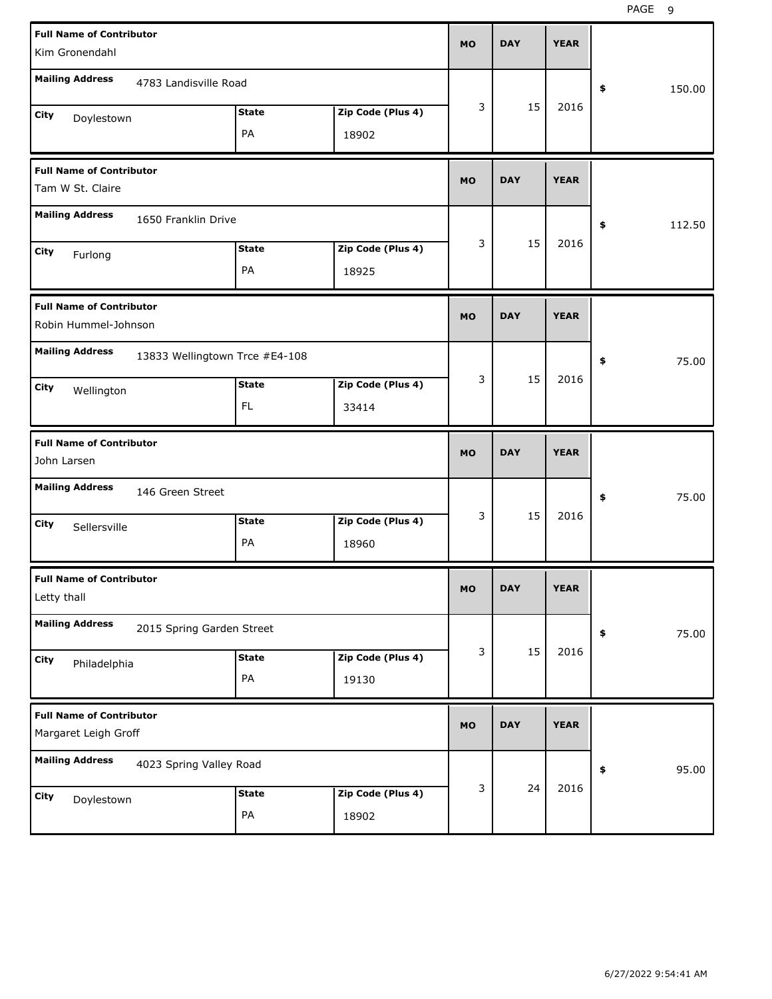| <b>Full Name of Contributor</b><br>Kim Gronendahl                        | <b>MO</b> | <b>DAY</b> | <b>YEAR</b> |              |
|--------------------------------------------------------------------------|-----------|------------|-------------|--------------|
| <b>Mailing Address</b><br>4783 Landisville Road                          |           |            |             | \$<br>150.00 |
| Zip Code (Plus 4)<br><b>State</b><br>City<br>Doylestown<br>PA<br>18902   | 3         | 15         | 2016        |              |
| <b>Full Name of Contributor</b><br>Tam W St. Claire                      | <b>MO</b> | <b>DAY</b> | <b>YEAR</b> |              |
| <b>Mailing Address</b><br>1650 Franklin Drive                            |           |            |             | 112.50<br>\$ |
| Zip Code (Plus 4)<br><b>State</b><br>City<br>Furlong<br>PA<br>18925      | 3         | 15         | 2016        |              |
| <b>Full Name of Contributor</b><br>Robin Hummel-Johnson                  | <b>MO</b> | <b>DAY</b> | <b>YEAR</b> |              |
| <b>Mailing Address</b><br>13833 Wellingtown Trce #E4-108                 |           |            |             | \$<br>75.00  |
| Zip Code (Plus 4)<br><b>State</b><br>City<br>Wellington<br>FL.<br>33414  | 3         | 15         | 2016        |              |
|                                                                          |           |            |             |              |
| <b>Full Name of Contributor</b><br>John Larsen                           | <b>MO</b> | <b>DAY</b> | <b>YEAR</b> |              |
| <b>Mailing Address</b><br>146 Green Street                               |           |            |             | \$<br>75.00  |
| Zip Code (Plus 4)<br><b>State</b><br>City<br>Sellersville<br>PA<br>18960 | 3         | 15         | 2016        |              |
| <b>Full Name of Contributor</b><br>Letty thall                           | MO.       | DAY        | YEAK        |              |
| <b>Mailing Address</b><br>2015 Spring Garden Street                      |           |            |             | 75.00<br>\$  |
| Zip Code (Plus 4)<br><b>State</b><br>City<br>Philadelphia<br>PA<br>19130 | 3         | 15         | 2016        |              |
| <b>Full Name of Contributor</b><br>Margaret Leigh Groff                  | <b>MO</b> | <b>DAY</b> | <b>YEAR</b> |              |
| <b>Mailing Address</b><br>4023 Spring Valley Road                        | 3         | 24         | 2016        | 95.00<br>\$  |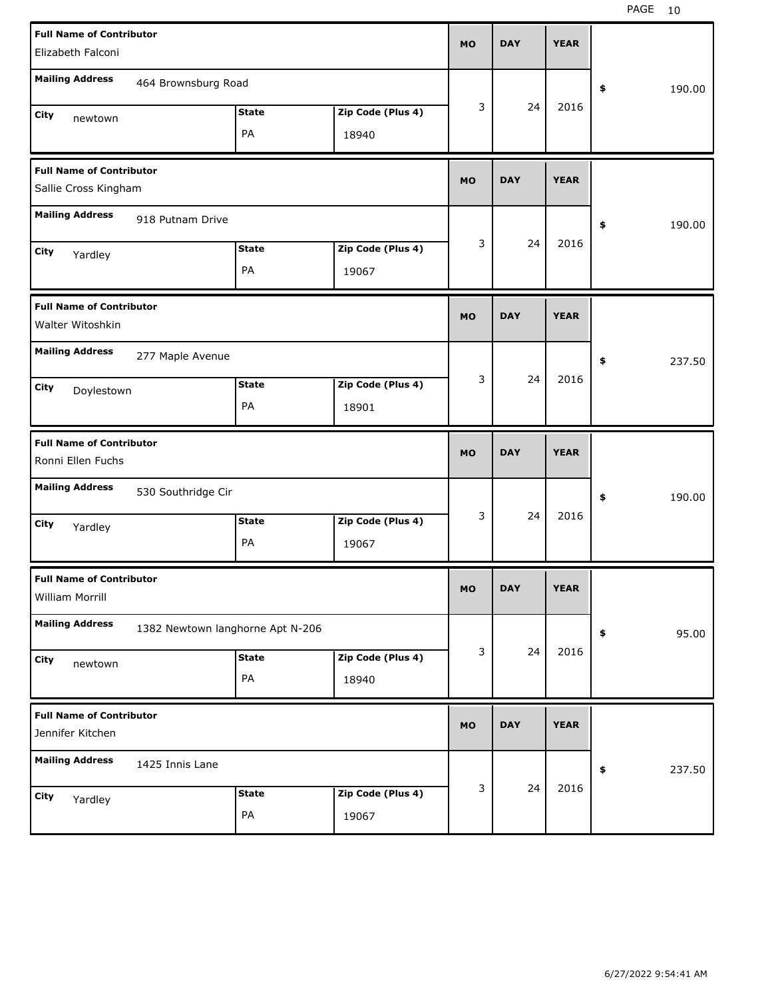| <b>Full Name of Contributor</b>                         |                                  |              |                   |           |            |             |              |
|---------------------------------------------------------|----------------------------------|--------------|-------------------|-----------|------------|-------------|--------------|
| Elizabeth Falconi                                       |                                  |              |                   | <b>MO</b> | <b>DAY</b> | <b>YEAR</b> |              |
| <b>Mailing Address</b>                                  | 464 Brownsburg Road              |              |                   |           |            |             | \$<br>190.00 |
| City<br>newtown                                         |                                  | <b>State</b> | Zip Code (Plus 4) | 3         | 24         | 2016        |              |
|                                                         |                                  | PA           | 18940             |           |            |             |              |
| <b>Full Name of Contributor</b><br>Sallie Cross Kingham |                                  |              |                   | <b>MO</b> | <b>DAY</b> | <b>YEAR</b> |              |
|                                                         |                                  |              |                   |           |            |             |              |
| <b>Mailing Address</b>                                  | 918 Putnam Drive                 |              |                   |           |            |             | \$<br>190.00 |
| City<br>Yardley                                         |                                  | <b>State</b> | Zip Code (Plus 4) | 3         | 24         | 2016        |              |
|                                                         |                                  | PA           | 19067             |           |            |             |              |
| <b>Full Name of Contributor</b><br>Walter Witoshkin     |                                  |              |                   | <b>MO</b> | <b>DAY</b> | <b>YEAR</b> |              |
| <b>Mailing Address</b>                                  | 277 Maple Avenue                 |              |                   |           |            |             | \$<br>237.50 |
| City<br>Doylestown                                      |                                  | <b>State</b> | Zip Code (Plus 4) | 3         | 24         | 2016        |              |
|                                                         |                                  | PA           | 18901             |           |            |             |              |
|                                                         |                                  |              |                   |           |            |             |              |
| <b>Full Name of Contributor</b><br>Ronni Ellen Fuchs    |                                  |              |                   | <b>MO</b> | <b>DAY</b> | <b>YEAR</b> |              |
| <b>Mailing Address</b>                                  | 530 Southridge Cir               |              |                   |           |            |             | \$<br>190.00 |
| City                                                    |                                  | <b>State</b> | Zip Code (Plus 4) | 3         | 24         | 2016        |              |
| Yardley                                                 |                                  | PA           | 19067             |           |            |             |              |
| <b>Full Name of Contributor</b><br>William Morrill      |                                  |              |                   | МO        | <b>DAY</b> | <b>YEAR</b> |              |
| <b>Mailing Address</b>                                  | 1382 Newtown langhorne Apt N-206 |              |                   |           |            |             | \$<br>95.00  |
| City                                                    |                                  | <b>State</b> | Zip Code (Plus 4) | 3         | 24         | 2016        |              |
| newtown                                                 |                                  | PA           | 18940             |           |            |             |              |
| <b>Full Name of Contributor</b><br>Jennifer Kitchen     |                                  |              |                   | <b>MO</b> | <b>DAY</b> | <b>YEAR</b> |              |
| <b>Mailing Address</b>                                  | 1425 Innis Lane                  |              |                   |           |            |             | \$<br>237.50 |
| City<br>Yardley                                         |                                  | <b>State</b> | Zip Code (Plus 4) | 3         | 24         | 2016        |              |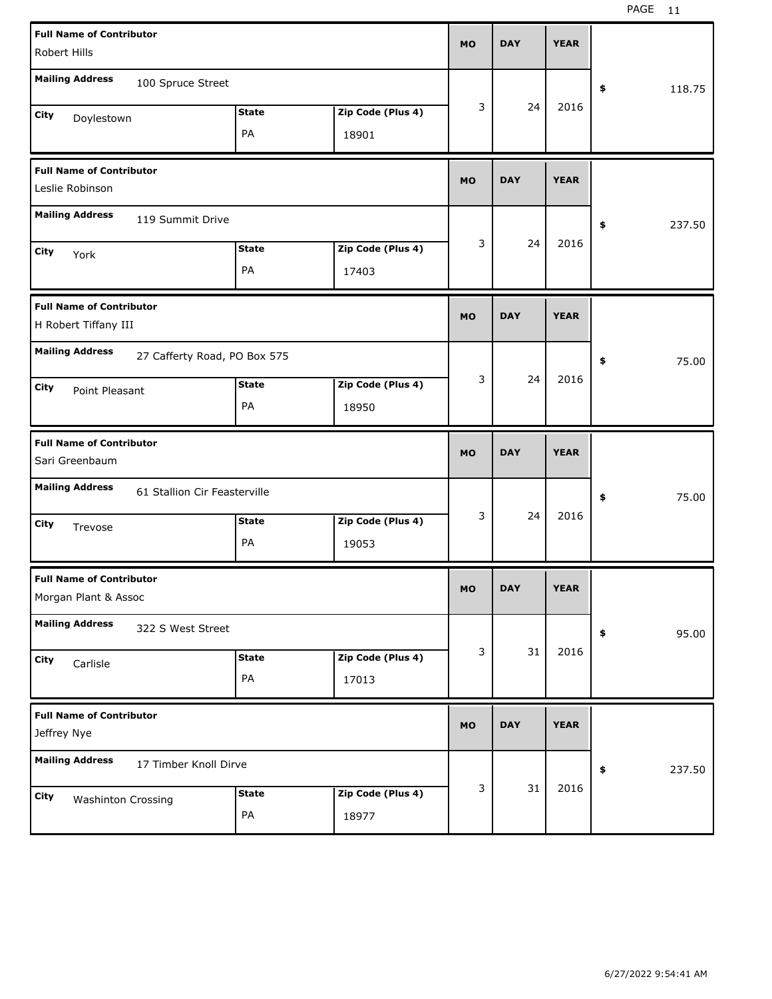| <b>Full Name of Contributor</b><br>Robert Hills         |                              |              |                   | <b>MO</b> | <b>DAY</b> | <b>YEAR</b> |              |
|---------------------------------------------------------|------------------------------|--------------|-------------------|-----------|------------|-------------|--------------|
| <b>Mailing Address</b>                                  | 100 Spruce Street            |              |                   |           |            |             | \$<br>118.75 |
| City<br>Doylestown                                      |                              | <b>State</b> | Zip Code (Plus 4) | 3         | 24         | 2016        |              |
|                                                         |                              | PA           | 18901             |           |            |             |              |
| <b>Full Name of Contributor</b><br>Leslie Robinson      |                              |              |                   | <b>MO</b> | <b>DAY</b> | <b>YEAR</b> |              |
| <b>Mailing Address</b>                                  | 119 Summit Drive             |              |                   |           |            |             | \$<br>237.50 |
| City<br>York                                            |                              | <b>State</b> | Zip Code (Plus 4) | 3         | 24         | 2016        |              |
|                                                         |                              | PA           | 17403             |           |            |             |              |
| <b>Full Name of Contributor</b><br>H Robert Tiffany III |                              |              |                   | <b>MO</b> | <b>DAY</b> | <b>YEAR</b> |              |
| <b>Mailing Address</b>                                  | 27 Cafferty Road, PO Box 575 |              |                   |           |            |             | \$<br>75.00  |
| City<br>Point Pleasant                                  |                              | <b>State</b> | Zip Code (Plus 4) | 3         | 24         | 2016        |              |
|                                                         |                              | PA           | 18950             |           |            |             |              |
|                                                         |                              |              |                   |           |            |             |              |
| <b>Full Name of Contributor</b><br>Sari Greenbaum       |                              |              |                   | <b>MO</b> | <b>DAY</b> | <b>YEAR</b> |              |
| <b>Mailing Address</b>                                  | 61 Stallion Cir Feasterville |              |                   |           |            |             | \$<br>75.00  |
| City                                                    |                              | <b>State</b> | Zip Code (Plus 4) | 3         | 24         | 2016        |              |
| Trevose                                                 |                              | PA           | 19053             |           |            |             |              |
| <b>Full Name of Contributor</b><br>Morgan Plant & Assoc |                              |              |                   | <b>MO</b> | DAY        | YEAK        |              |
| <b>Mailing Address</b>                                  | 322 S West Street            |              |                   |           |            |             | 95.00<br>\$  |
| City                                                    |                              | <b>State</b> | Zip Code (Plus 4) | 3         | 31         | 2016        |              |
| Carlisle                                                |                              | PA           | 17013             |           |            |             |              |
| <b>Full Name of Contributor</b><br>Jeffrey Nye          |                              |              |                   | <b>MO</b> | <b>DAY</b> | <b>YEAR</b> |              |
| <b>Mailing Address</b>                                  | 17 Timber Knoll Dirve        |              |                   |           |            |             | \$<br>237.50 |
| City<br><b>Washinton Crossing</b>                       |                              | <b>State</b> | Zip Code (Plus 4) | 3         | 31         | 2016        |              |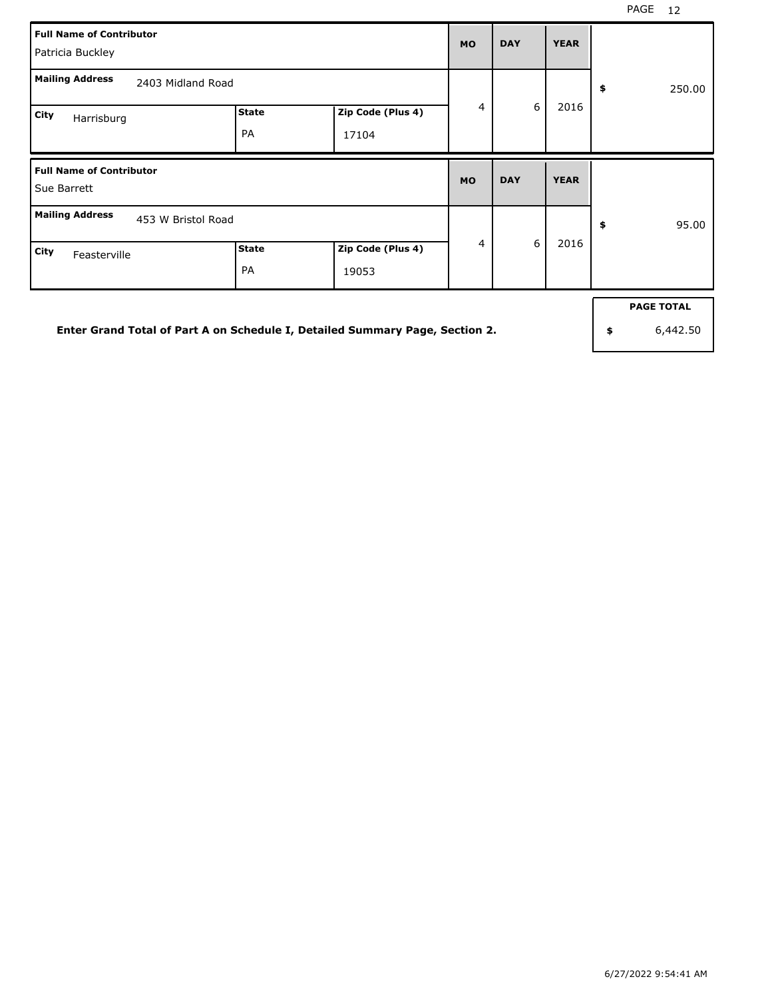| <b>Full Name of Contributor</b><br>Patricia Buckley |                           |                            | <b>MO</b> | <b>DAY</b> | <b>YEAR</b> |              |
|-----------------------------------------------------|---------------------------|----------------------------|-----------|------------|-------------|--------------|
| <b>Mailing Address</b><br>2403 Midland Road         |                           |                            |           |            |             | 250.00<br>\$ |
| City<br>Harrisburg                                  | <b>State</b><br><b>PA</b> | Zip Code (Plus 4)<br>17104 | 4         | 6          | 2016        |              |
|                                                     |                           |                            |           |            |             |              |
| <b>Full Name of Contributor</b><br>Sue Barrett      |                           |                            | <b>MO</b> | <b>DAY</b> | <b>YEAR</b> |              |
| <b>Mailing Address</b><br>453 W Bristol Road        |                           |                            | 4         | 6          | 2016        | 95.00<br>\$  |

**Enter Grand Total of Part A on Schedule I, Detailed Summary Page, Section 2.**

**PAGE TOTAL**

**\$** 6,442.50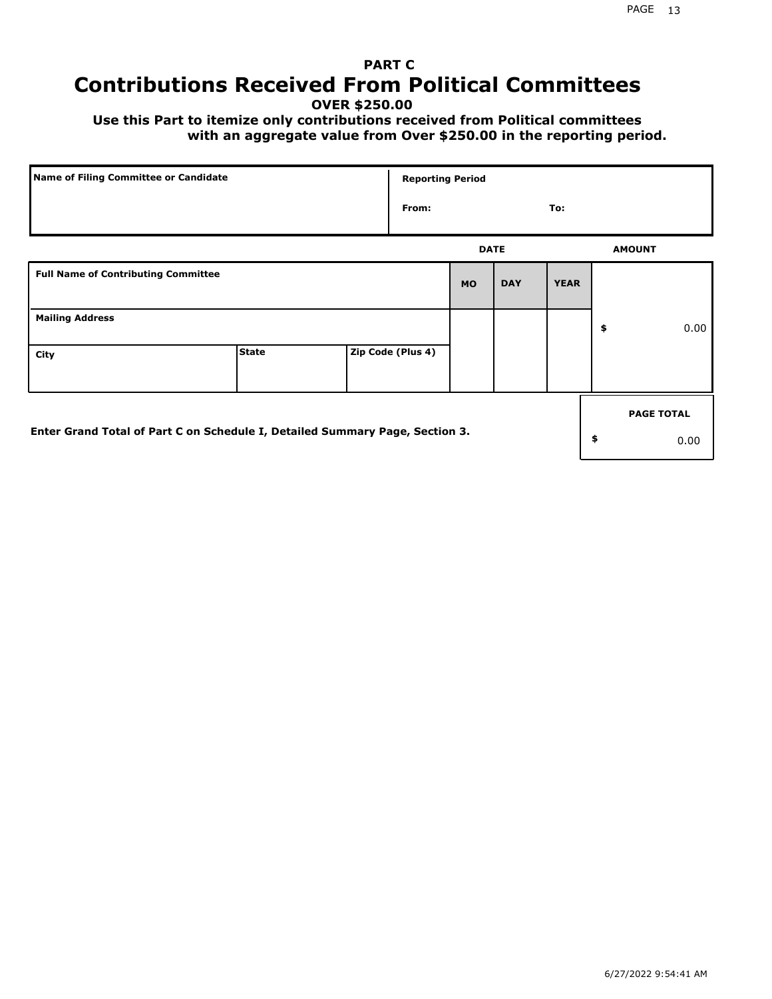# **PART C Contributions Received From Political Committees**

**OVER \$250.00**

 **Use this Part to itemize only contributions received from Political committees with an aggregate value from Over \$250.00 in the reporting period.**

| Name of Filing Committee or Candidate                                        |              | <b>Reporting Period</b> |             |            |             |                   |
|------------------------------------------------------------------------------|--------------|-------------------------|-------------|------------|-------------|-------------------|
|                                                                              |              | From:                   |             |            | To:         |                   |
|                                                                              |              |                         | <b>DATE</b> |            |             | <b>AMOUNT</b>     |
| <b>Full Name of Contributing Committee</b>                                   |              |                         | <b>MO</b>   | <b>DAY</b> | <b>YEAR</b> |                   |
| <b>Mailing Address</b>                                                       |              |                         |             |            |             | \$<br>0.00        |
| City                                                                         | <b>State</b> | Zip Code (Plus 4)       |             |            |             |                   |
|                                                                              |              |                         |             |            |             | <b>PAGE TOTAL</b> |
| Enter Grand Total of Part C on Schedule I, Detailed Summary Page, Section 3. |              |                         |             |            |             | \$<br>0.00        |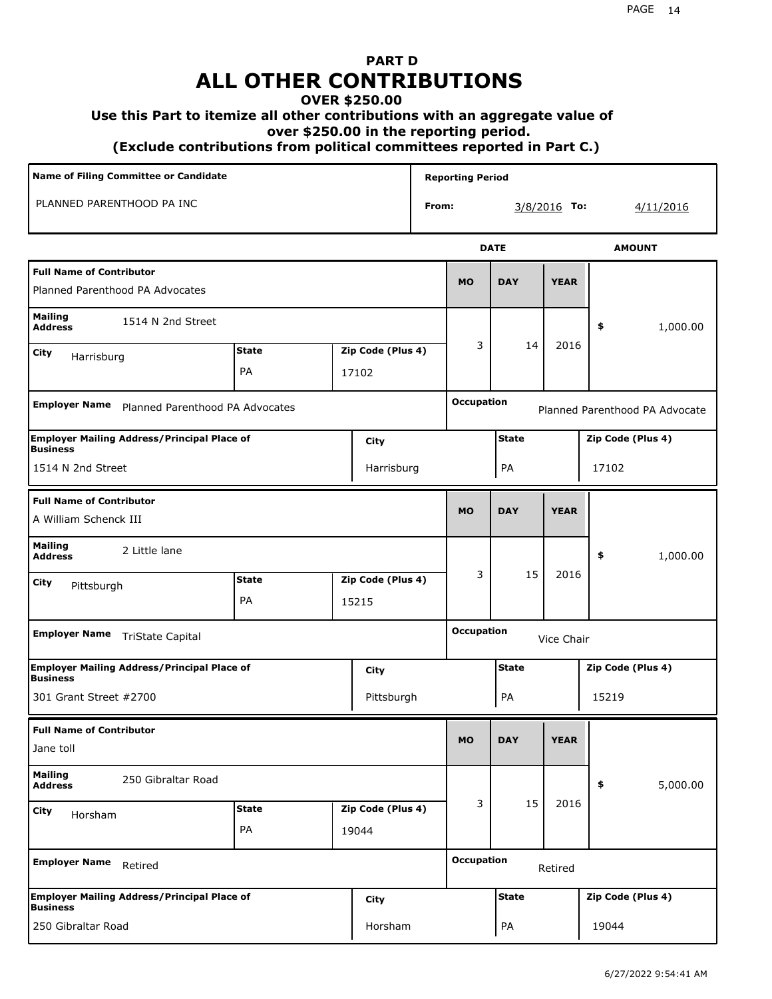# **PART D ALL OTHER CONTRIBUTIONS**

### **OVER \$250.00**

### **Use this Part to itemize all other contributions with an aggregate value of**

 **over \$250.00 in the reporting period.**

 **(Exclude contributions from political committees reported in Part C.)** 

| Name of Filing Committee or Candidate                                 |              |                   |       | <b>Reporting Period</b> |              |              |                                |
|-----------------------------------------------------------------------|--------------|-------------------|-------|-------------------------|--------------|--------------|--------------------------------|
| PLANNED PARENTHOOD PA INC                                             |              |                   | From: |                         |              | 3/8/2016 To: | 4/11/2016                      |
|                                                                       |              |                   |       |                         | <b>DATE</b>  |              | <b>AMOUNT</b>                  |
| <b>Full Name of Contributor</b><br>Planned Parenthood PA Advocates    |              |                   |       | <b>MO</b>               | <b>DAY</b>   | <b>YEAR</b>  |                                |
| <b>Mailing</b><br>1514 N 2nd Street<br><b>Address</b>                 |              |                   |       |                         |              |              | 1,000.00<br>\$                 |
| City<br>Harrisburg                                                    | <b>State</b> | Zip Code (Plus 4) |       | 3                       | 14           | 2016         |                                |
|                                                                       | <b>PA</b>    | 17102             |       |                         |              |              |                                |
| <b>Employer Name</b><br>Planned Parenthood PA Advocates               |              |                   |       | <b>Occupation</b>       |              |              | Planned Parenthood PA Advocate |
| <b>Employer Mailing Address/Principal Place of</b><br><b>Business</b> |              | City              |       |                         | <b>State</b> |              | Zip Code (Plus 4)              |
| 1514 N 2nd Street                                                     |              | Harrisburg        |       |                         | PA           |              | 17102                          |
| <b>Full Name of Contributor</b><br>A William Schenck III              |              |                   |       | <b>MO</b>               | <b>DAY</b>   | <b>YEAR</b>  |                                |
| <b>Mailing</b><br>2 Little lane<br><b>Address</b>                     |              |                   |       |                         |              |              | \$<br>1,000.00                 |
| City<br>Pittsburgh                                                    | <b>State</b> | Zip Code (Plus 4) |       | 3                       | 15           | 2016         |                                |
|                                                                       | <b>PA</b>    | 15215             |       |                         |              |              |                                |
| Employer Name TriState Capital                                        |              |                   |       | <b>Occupation</b>       |              | Vice Chair   |                                |
| <b>Employer Mailing Address/Principal Place of</b><br><b>Business</b> |              | City              |       |                         | <b>State</b> |              | Zip Code (Plus 4)              |
| 301 Grant Street #2700                                                |              | Pittsburgh        |       |                         | PA           |              | 15219                          |
| <b>Full Name of Contributor</b><br>Jane toll                          |              |                   |       | <b>MO</b>               | <b>DAY</b>   | <b>YEAR</b>  |                                |
| <b>Mailing</b><br>250 Gibraltar Road<br><b>Address</b>                |              |                   |       |                         |              |              | 5,000.00<br>\$                 |
| City<br>Horsham                                                       | <b>State</b> | Zip Code (Plus 4) |       | 3                       | 15           | 2016         |                                |
|                                                                       | PA           | 19044             |       |                         |              |              |                                |
| <b>Employer Name</b><br>Retired                                       |              |                   |       | <b>Occupation</b>       |              | Retired      |                                |
| Employer Mailing Address/Principal Place of<br>Business               |              | City              |       |                         | <b>State</b> |              | Zip Code (Plus 4)              |
| 250 Gibraltar Road                                                    |              | Horsham           |       |                         | PA           |              | 19044                          |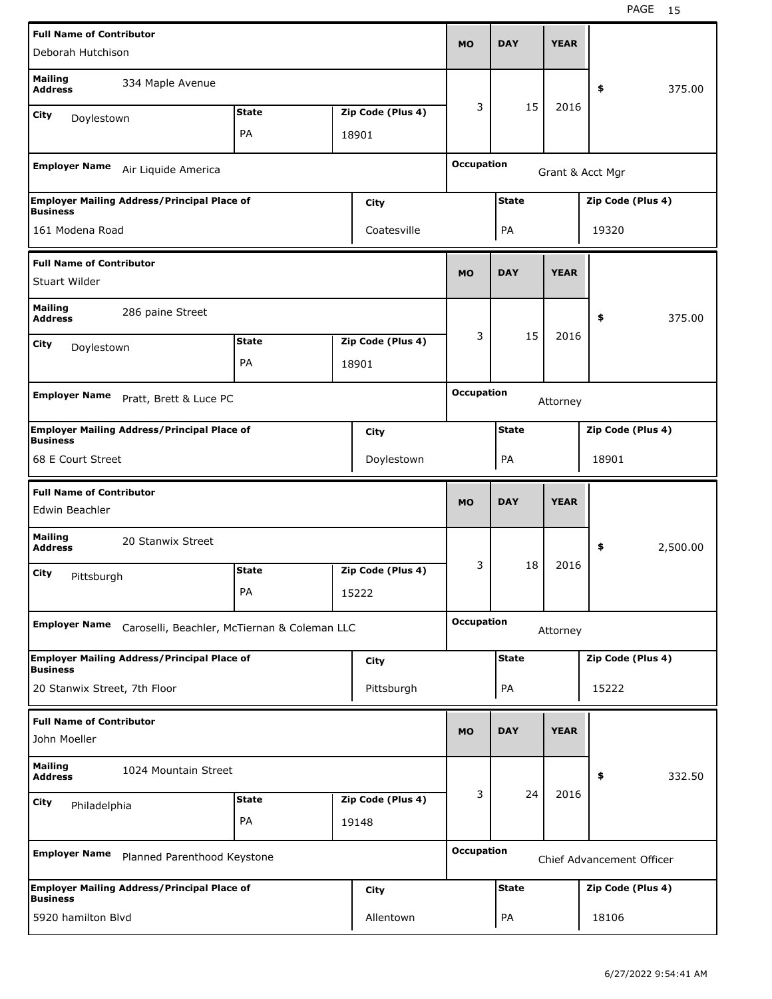| <b>Full Name of Contributor</b>                   |                                                    |              |                   |                   |              |             |                           |          |
|---------------------------------------------------|----------------------------------------------------|--------------|-------------------|-------------------|--------------|-------------|---------------------------|----------|
| Deborah Hutchison                                 |                                                    |              |                   | <b>MO</b>         | <b>DAY</b>   | <b>YEAR</b> |                           |          |
| <b>Mailing</b><br><b>Address</b>                  | 334 Maple Avenue                                   |              |                   |                   |              |             | \$                        | 375.00   |
| City<br>Doylestown                                |                                                    | <b>State</b> | Zip Code (Plus 4) | 3                 | 15           | 2016        |                           |          |
|                                                   |                                                    | PA           | 18901             |                   |              |             |                           |          |
|                                                   |                                                    |              |                   |                   |              |             |                           |          |
| <b>Employer Name</b>                              | Air Liquide America                                |              |                   | <b>Occupation</b> |              |             | Grant & Acct Mgr          |          |
| <b>Business</b>                                   | <b>Employer Mailing Address/Principal Place of</b> |              | City              |                   | <b>State</b> |             | Zip Code (Plus 4)         |          |
| 161 Modena Road                                   |                                                    |              | Coatesville       |                   | PA           |             | 19320                     |          |
| <b>Full Name of Contributor</b>                   |                                                    |              |                   |                   |              |             |                           |          |
| Stuart Wilder                                     |                                                    |              |                   | <b>MO</b>         | <b>DAY</b>   | <b>YEAR</b> |                           |          |
| <b>Mailing</b><br><b>Address</b>                  | 286 paine Street                                   |              |                   |                   |              |             | \$                        | 375.00   |
| City<br>Doylestown                                |                                                    | <b>State</b> | Zip Code (Plus 4) | 3                 | 15           | 2016        |                           |          |
|                                                   |                                                    | PA           | 18901             |                   |              |             |                           |          |
|                                                   |                                                    |              |                   |                   |              |             |                           |          |
| <b>Employer Name</b>                              | Pratt, Brett & Luce PC                             |              |                   | <b>Occupation</b> |              | Attorney    |                           |          |
| <b>Business</b>                                   | <b>Employer Mailing Address/Principal Place of</b> |              | City              |                   | <b>State</b> |             | Zip Code (Plus 4)         |          |
| 68 E Court Street                                 |                                                    |              | Doylestown        |                   | PA           |             | 18901                     |          |
|                                                   |                                                    |              |                   |                   |              |             |                           |          |
|                                                   |                                                    |              |                   |                   |              |             |                           |          |
| <b>Full Name of Contributor</b><br>Edwin Beachler |                                                    |              |                   | <b>MO</b>         | <b>DAY</b>   | <b>YEAR</b> |                           |          |
| <b>Mailing</b><br><b>Address</b>                  | 20 Stanwix Street                                  |              |                   |                   |              |             | \$                        | 2,500.00 |
| City                                              |                                                    | <b>State</b> | Zip Code (Plus 4) | 3                 | 18           | 2016        |                           |          |
| Pittsburgh                                        |                                                    | PA           | 15222             |                   |              |             |                           |          |
|                                                   |                                                    |              |                   |                   |              |             |                           |          |
| <b>Employer Name</b>                              | Caroselli, Beachler, McTiernan & Coleman LLC       |              |                   | <b>Occupation</b> |              | Attorney    |                           |          |
| <b>Business</b>                                   | <b>Employer Mailing Address/Principal Place of</b> |              | <b>City</b>       |                   | <b>State</b> |             | Zip Code (Plus 4)         |          |
| 20 Stanwix Street, 7th Floor                      |                                                    |              | Pittsburgh        |                   | PA           |             | 15222                     |          |
| <b>Full Name of Contributor</b>                   |                                                    |              |                   |                   |              |             |                           |          |
| John Moeller                                      |                                                    |              |                   | <b>MO</b>         | <b>DAY</b>   | <b>YEAR</b> |                           |          |
| <b>Mailing</b><br><b>Address</b>                  | 1024 Mountain Street                               |              |                   |                   |              |             | \$                        | 332.50   |
| City                                              |                                                    | <b>State</b> | Zip Code (Plus 4) | 3                 | 24           | 2016        |                           |          |
| Philadelphia                                      |                                                    | PA           | 19148             |                   |              |             |                           |          |
| <b>Employer Name</b>                              | Planned Parenthood Keystone                        |              |                   | <b>Occupation</b> |              |             | Chief Advancement Officer |          |
| <b>Business</b>                                   | <b>Employer Mailing Address/Principal Place of</b> |              | City              |                   | <b>State</b> |             | Zip Code (Plus 4)         |          |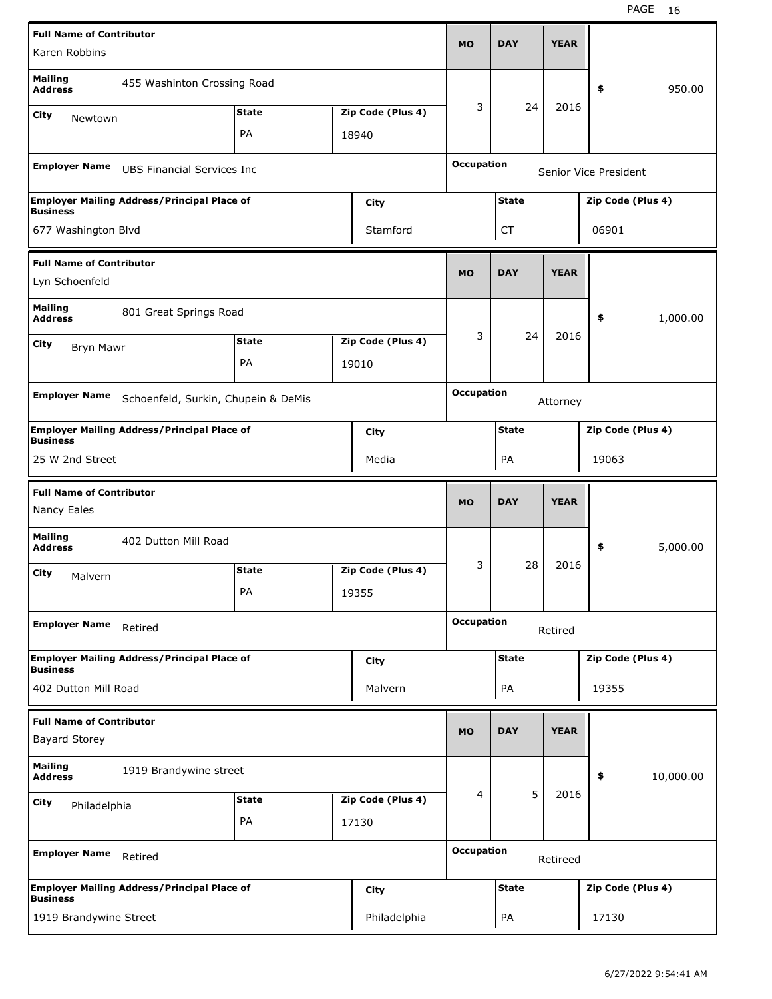| <b>Full Name of Contributor</b>         |                                                    |              |                   |                   |              |             |                       |           |
|-----------------------------------------|----------------------------------------------------|--------------|-------------------|-------------------|--------------|-------------|-----------------------|-----------|
| Karen Robbins                           |                                                    |              |                   | <b>MO</b>         | <b>DAY</b>   | <b>YEAR</b> |                       |           |
| <b>Mailing</b><br><b>Address</b>        | 455 Washinton Crossing Road                        |              |                   |                   |              |             | \$                    | 950.00    |
| City<br>Newtown                         |                                                    | <b>State</b> | Zip Code (Plus 4) | 3                 | 24           | 2016        |                       |           |
|                                         |                                                    | PA           | 18940             |                   |              |             |                       |           |
| <b>Employer Name</b>                    | <b>UBS Financial Services Inc</b>                  |              |                   | <b>Occupation</b> |              |             | Senior Vice President |           |
|                                         |                                                    |              |                   |                   |              |             |                       |           |
| <b>Business</b>                         | <b>Employer Mailing Address/Principal Place of</b> |              | City              |                   | <b>State</b> |             | Zip Code (Plus 4)     |           |
| 677 Washington Blvd                     |                                                    |              | Stamford          |                   | СT           |             | 06901                 |           |
| <b>Full Name of Contributor</b>         |                                                    |              |                   |                   |              |             |                       |           |
| Lyn Schoenfeld                          |                                                    |              |                   | <b>MO</b>         | <b>DAY</b>   | <b>YEAR</b> |                       |           |
| <b>Mailing</b><br><b>Address</b>        | 801 Great Springs Road                             |              |                   |                   |              |             | \$                    | 1,000.00  |
| City                                    |                                                    | <b>State</b> | Zip Code (Plus 4) | 3                 | 24           | 2016        |                       |           |
| <b>Bryn Mawr</b>                        |                                                    | PA           | 19010             |                   |              |             |                       |           |
|                                         |                                                    |              |                   |                   |              |             |                       |           |
| <b>Employer Name</b>                    | Schoenfeld, Surkin, Chupein & DeMis                |              |                   | <b>Occupation</b> |              | Attorney    |                       |           |
| <b>Business</b>                         | <b>Employer Mailing Address/Principal Place of</b> |              | City              |                   | <b>State</b> |             | Zip Code (Plus 4)     |           |
| 25 W 2nd Street                         |                                                    |              | Media             |                   | PA           |             | 19063                 |           |
|                                         |                                                    |              |                   |                   |              |             |                       |           |
| <b>Full Name of Contributor</b>         |                                                    |              |                   |                   |              |             |                       |           |
| Nancy Eales                             |                                                    |              |                   | <b>MO</b>         | <b>DAY</b>   | <b>YEAR</b> |                       |           |
| <b>Mailing</b><br><b>Address</b>        | 402 Dutton Mill Road                               |              |                   |                   |              |             | \$                    | 5,000.00  |
| City                                    |                                                    | <b>State</b> | Zip Code (Plus 4) | 3                 | 28           | 2016        |                       |           |
| Malvern                                 |                                                    | PA           | 19355             |                   |              |             |                       |           |
| <b>Employer Name</b>                    | Retired                                            |              |                   | <b>Occupation</b> |              | Retired     |                       |           |
|                                         | <b>Employer Mailing Address/Principal Place of</b> |              | <b>City</b>       |                   | <b>State</b> |             | Zip Code (Plus 4)     |           |
| <b>Business</b><br>402 Dutton Mill Road |                                                    |              | Malvern           |                   | PA           |             | 19355                 |           |
| <b>Full Name of Contributor</b>         |                                                    |              |                   |                   |              |             |                       |           |
| <b>Bayard Storey</b>                    |                                                    |              |                   | <b>MO</b>         | <b>DAY</b>   | <b>YEAR</b> |                       |           |
| <b>Mailing</b><br><b>Address</b>        | 1919 Brandywine street                             |              |                   |                   |              |             | \$                    | 10,000.00 |
| City                                    |                                                    | <b>State</b> | Zip Code (Plus 4) | 4                 | 5            | 2016        |                       |           |
| Philadelphia                            |                                                    | PA           | 17130             |                   |              |             |                       |           |
| <b>Employer Name</b>                    | Retired                                            |              |                   | <b>Occupation</b> |              | Retireed    |                       |           |
| <b>Business</b>                         | <b>Employer Mailing Address/Principal Place of</b> |              | <b>City</b>       |                   | <b>State</b> |             | Zip Code (Plus 4)     |           |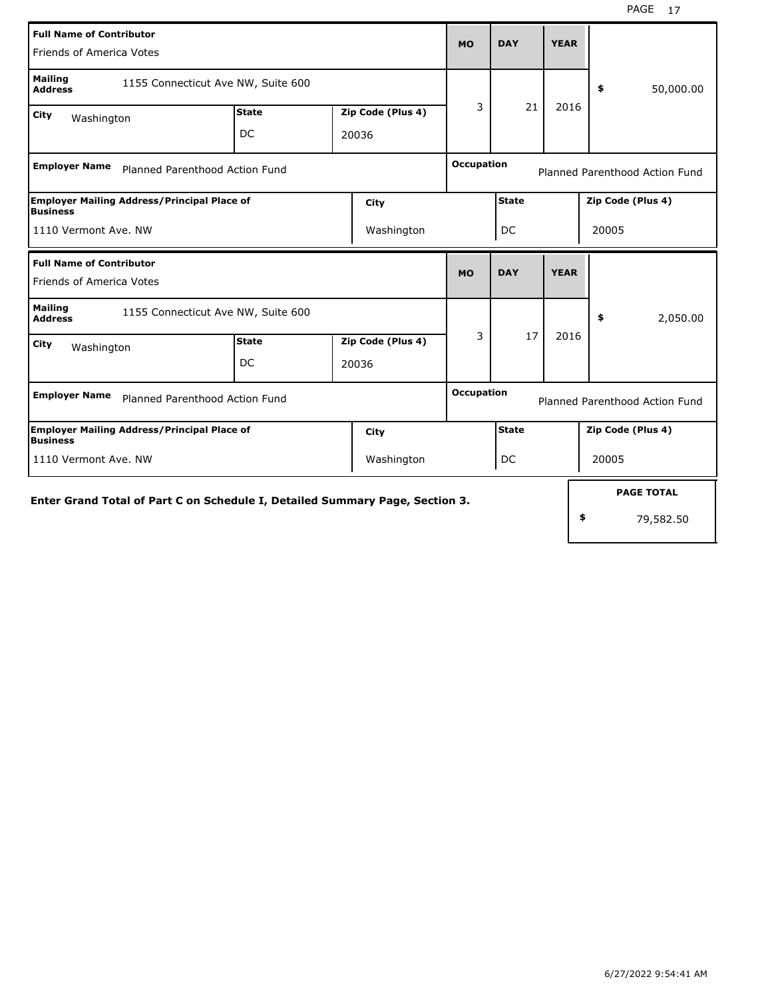| <b>Full Name of Contributor</b><br>Friends of America Votes                  |              |                   | <b>MO</b>         | <b>DAY</b>   | <b>YEAR</b> |                                |
|------------------------------------------------------------------------------|--------------|-------------------|-------------------|--------------|-------------|--------------------------------|
| <b>Mailing</b><br>1155 Connecticut Ave NW, Suite 600<br><b>Address</b>       |              |                   |                   |              |             | 50,000.00<br>\$                |
| City<br>Washington                                                           | <b>State</b> | Zip Code (Plus 4) | 3                 | 21           | 2016        |                                |
|                                                                              | <b>DC</b>    | 20036             |                   |              |             |                                |
| <b>Employer Name</b><br>Planned Parenthood Action Fund                       |              |                   | <b>Occupation</b> |              |             | Planned Parenthood Action Fund |
| <b>Employer Mailing Address/Principal Place of</b><br><b>Business</b>        |              | <b>City</b>       |                   | <b>State</b> |             | Zip Code (Plus 4)              |
| 1110 Vermont Ave. NW                                                         |              | Washington        |                   | DC           |             | 20005                          |
| <b>Full Name of Contributor</b><br>Friends of America Votes                  |              |                   | <b>MO</b>         | <b>DAY</b>   | <b>YEAR</b> |                                |
| <b>Mailing</b><br>1155 Connecticut Ave NW, Suite 600<br><b>Address</b>       |              |                   |                   |              |             | 2,050.00<br>\$                 |
| City<br>Washington                                                           | <b>State</b> | Zip Code (Plus 4) | 3                 | 17           | 2016        |                                |
|                                                                              | DC           | 20036             |                   |              |             |                                |
| <b>Employer Name</b><br>Planned Parenthood Action Fund                       |              |                   | <b>Occupation</b> |              |             | Planned Parenthood Action Fund |
| <b>Employer Mailing Address/Principal Place of</b><br><b>Business</b>        |              | City              |                   | <b>State</b> |             | Zip Code (Plus 4)              |
| 1110 Vermont Ave. NW                                                         |              | Washington        |                   | DC           |             | 20005                          |
| Enter Grand Total of Part C on Schedule I, Detailed Summary Page, Section 3. |              |                   |                   |              |             | <b>PAGE TOTAL</b>              |
|                                                                              |              |                   |                   |              |             | \$<br>79,582.50                |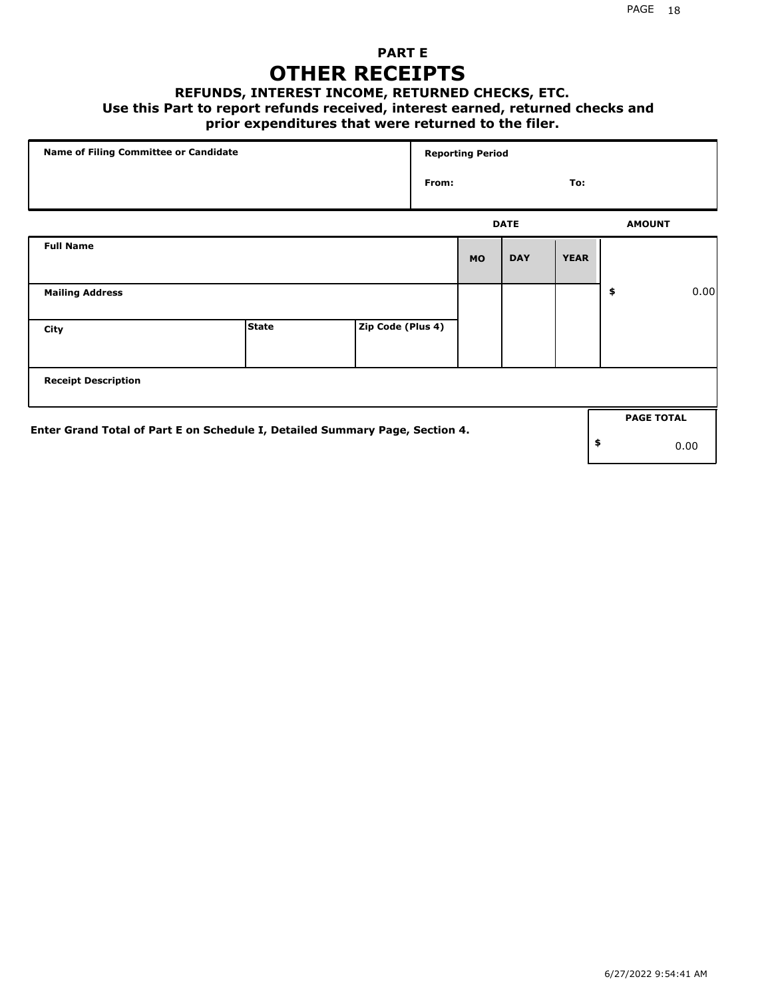### **PART E OTHER RECEIPTS**

#### **REFUNDS, INTEREST INCOME, RETURNED CHECKS, ETC.**

#### **Use this Part to report refunds received, interest earned, returned checks and**

### **prior expenditures that were returned to the filer.**

| Name of Filing Committee or Candidate                                        |              |                   |       | <b>Reporting Period</b> |             |             |                   |      |
|------------------------------------------------------------------------------|--------------|-------------------|-------|-------------------------|-------------|-------------|-------------------|------|
|                                                                              |              |                   | From: |                         |             | To:         |                   |      |
|                                                                              |              |                   |       |                         | <b>DATE</b> |             | <b>AMOUNT</b>     |      |
| <b>Full Name</b>                                                             |              |                   |       | <b>MO</b>               | <b>DAY</b>  | <b>YEAR</b> |                   |      |
| <b>Mailing Address</b>                                                       |              |                   |       |                         |             |             | \$                | 0.00 |
| City                                                                         | <b>State</b> | Zip Code (Plus 4) |       |                         |             |             |                   |      |
| <b>Receipt Description</b>                                                   |              |                   |       |                         |             |             |                   |      |
| Enter Grand Total of Part E on Schedule I, Detailed Summary Page, Section 4. |              |                   |       |                         |             |             | <b>PAGE TOTAL</b> |      |
|                                                                              |              |                   |       |                         |             |             | \$                | 0.00 |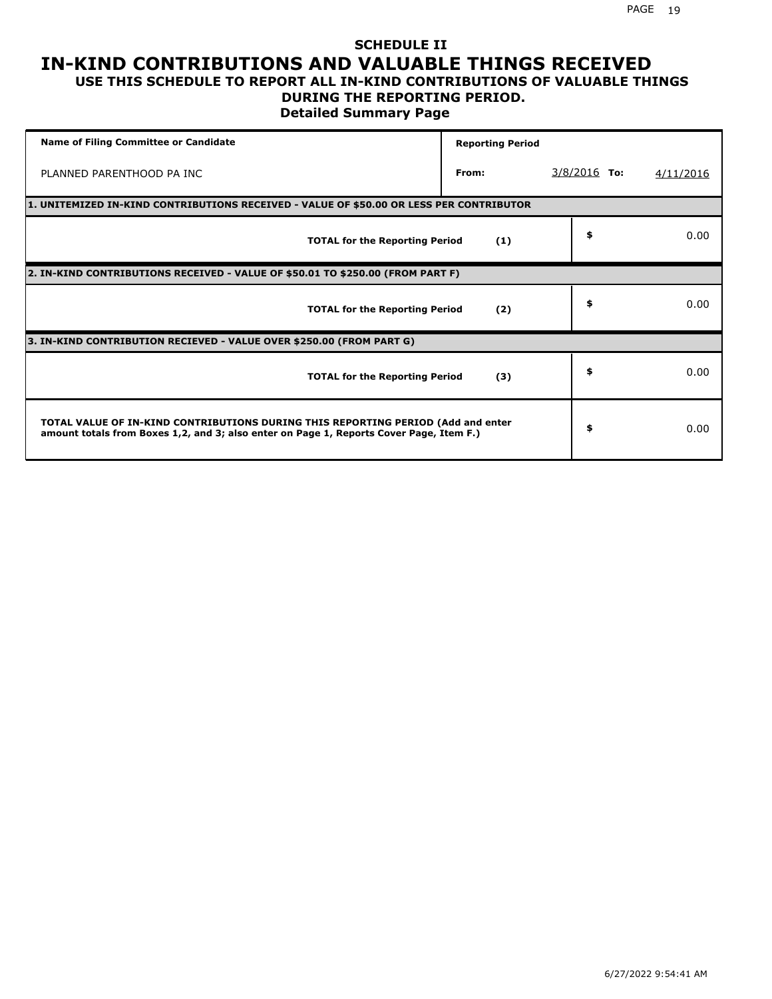### **SCHEDULE II IN-KIND CONTRIBUTIONS AND VALUABLE THINGS RECEIVED USE THIS SCHEDULE TO REPORT ALL IN-KIND CONTRIBUTIONS OF VALUABLE THINGS**

### **DURING THE REPORTING PERIOD.**

**Detailed Summary Page**

| <b>Name of Filing Committee or Candidate</b>                                                                                                                                | <b>Reporting Period</b> |                |           |
|-----------------------------------------------------------------------------------------------------------------------------------------------------------------------------|-------------------------|----------------|-----------|
| PLANNED PARENTHOOD PA INC                                                                                                                                                   | From:                   | $3/8/2016$ To: | 4/11/2016 |
| 1. UNITEMIZED IN-KIND CONTRIBUTIONS RECEIVED - VALUE OF \$50.00 OR LESS PER CONTRIBUTOR                                                                                     |                         |                |           |
| <b>TOTAL for the Reporting Period</b>                                                                                                                                       | (1)                     | \$             | 0.00      |
| 2. IN-KIND CONTRIBUTIONS RECEIVED - VALUE OF \$50.01 TO \$250.00 (FROM PART F)                                                                                              |                         |                |           |
| <b>TOTAL for the Reporting Period</b>                                                                                                                                       | (2)                     | \$             | 0.00      |
| 3. IN-KIND CONTRIBUTION RECIEVED - VALUE OVER \$250.00 (FROM PART G)                                                                                                        |                         |                |           |
| <b>TOTAL for the Reporting Period</b>                                                                                                                                       | (3)                     | \$             | 0.00      |
| TOTAL VALUE OF IN-KIND CONTRIBUTIONS DURING THIS REPORTING PERIOD (Add and enter<br>amount totals from Boxes 1,2, and 3; also enter on Page 1, Reports Cover Page, Item F.) |                         | \$             | 0.00      |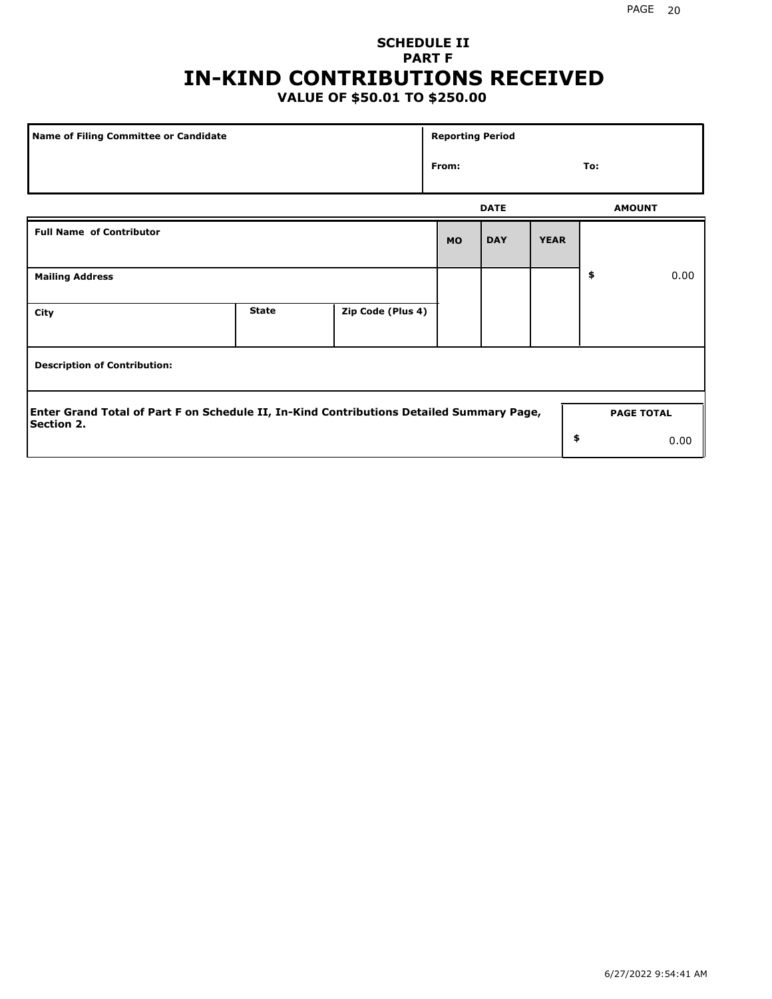# **SCHEDULE II PART F IN-KIND CONTRIBUTIONS RECEIVED**

## **VALUE OF \$50.01 TO \$250.00**

| Name of Filing Committee or Candidate                                                                         |              |                   | <b>Reporting Period</b> |             |             |               |                   |
|---------------------------------------------------------------------------------------------------------------|--------------|-------------------|-------------------------|-------------|-------------|---------------|-------------------|
| From:<br><b>Full Name of Contributor</b>                                                                      |              |                   |                         |             |             | To:           |                   |
|                                                                                                               |              |                   |                         | <b>DATE</b> |             | <b>AMOUNT</b> |                   |
|                                                                                                               |              |                   | <b>MO</b>               | <b>DAY</b>  | <b>YEAR</b> |               |                   |
| <b>Mailing Address</b>                                                                                        |              |                   |                         |             |             | \$            | 0.00              |
| City                                                                                                          | <b>State</b> | Zip Code (Plus 4) |                         |             |             |               |                   |
| <b>Description of Contribution:</b>                                                                           |              |                   |                         |             |             |               |                   |
| Enter Grand Total of Part F on Schedule II, In-Kind Contributions Detailed Summary Page,<br><b>Section 2.</b> |              |                   |                         |             |             |               | <b>PAGE TOTAL</b> |
|                                                                                                               |              |                   |                         |             | \$          |               | 0.00              |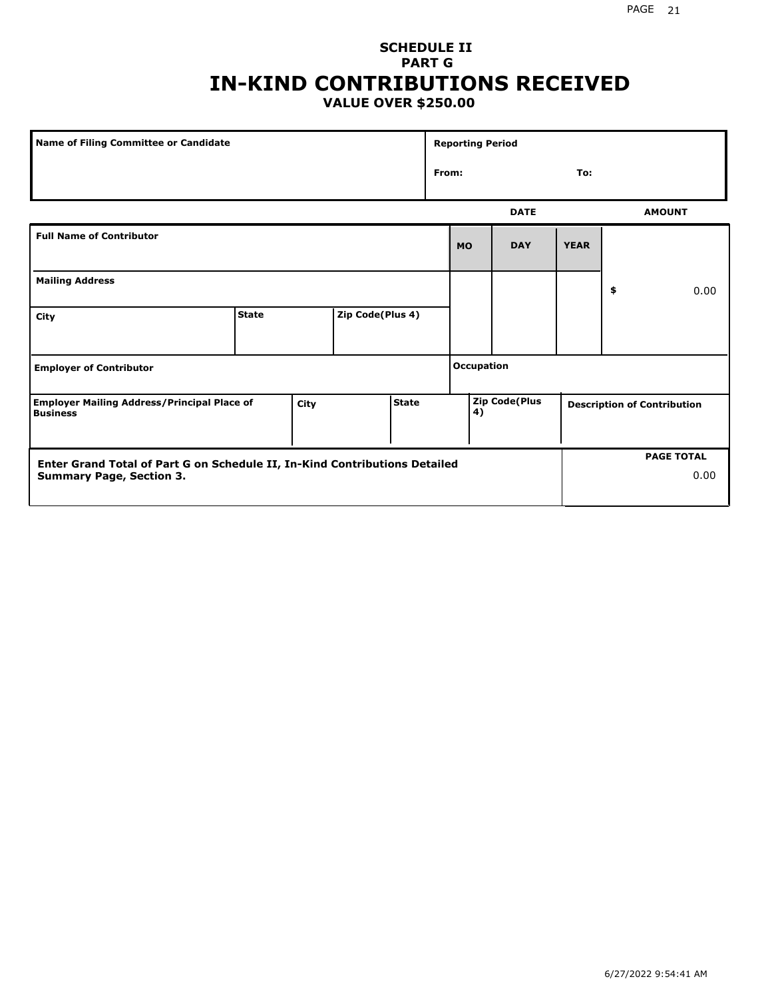### **SCHEDULE II PART G IN-KIND CONTRIBUTIONS RECEIVED VALUE OVER \$250.00**

| <b>Name of Filing Committee or Candidate</b>                                                                  |              |      |                  |              |       | <b>Reporting Period</b> |                      |             |                                    |
|---------------------------------------------------------------------------------------------------------------|--------------|------|------------------|--------------|-------|-------------------------|----------------------|-------------|------------------------------------|
|                                                                                                               |              |      |                  |              | From: |                         |                      | To:         |                                    |
|                                                                                                               |              |      |                  |              |       |                         | <b>DATE</b>          |             | <b>AMOUNT</b>                      |
| <b>Full Name of Contributor</b>                                                                               |              |      |                  |              |       | <b>MO</b>               | <b>DAY</b>           | <b>YEAR</b> |                                    |
| <b>Mailing Address</b>                                                                                        |              |      |                  |              |       |                         |                      |             | \$<br>0.00                         |
| City                                                                                                          | <b>State</b> |      | Zip Code(Plus 4) |              |       |                         |                      |             |                                    |
| <b>Employer of Contributor</b>                                                                                |              |      |                  |              |       | Occupation              |                      |             |                                    |
| <b>Employer Mailing Address/Principal Place of</b><br><b>Business</b>                                         |              | City |                  | <b>State</b> |       | 4)                      | <b>Zip Code(Plus</b> |             | <b>Description of Contribution</b> |
| Enter Grand Total of Part G on Schedule II, In-Kind Contributions Detailed<br><b>Summary Page, Section 3.</b> |              |      |                  |              |       |                         |                      |             | <b>PAGE TOTAL</b><br>0.00          |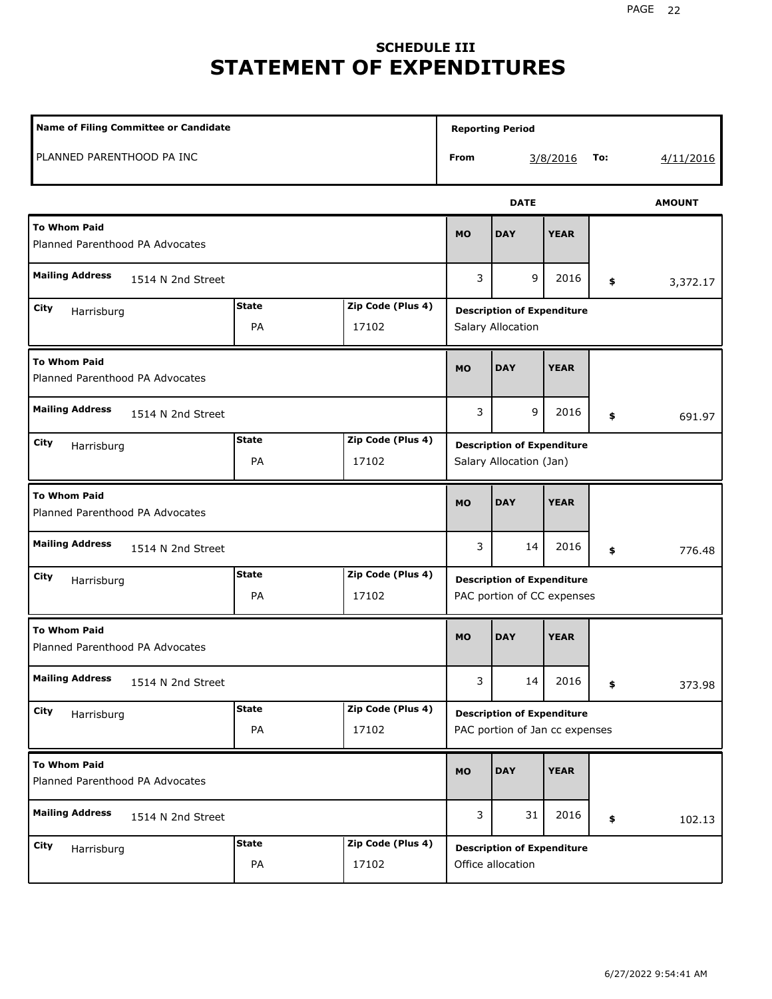# **SCHEDULE III STATEMENT OF EXPENDITURES**

| <b>Name of Filing Committee or Candidate</b>           |                    |                            |           | <b>Reporting Period</b>                                             |             |     |               |
|--------------------------------------------------------|--------------------|----------------------------|-----------|---------------------------------------------------------------------|-------------|-----|---------------|
| PLANNED PARENTHOOD PA INC                              |                    |                            | From      |                                                                     | 3/8/2016    | To: | 4/11/2016     |
|                                                        |                    |                            |           | <b>DATE</b>                                                         |             |     | <b>AMOUNT</b> |
| <b>To Whom Paid</b><br>Planned Parenthood PA Advocates |                    |                            | <b>MO</b> | <b>DAY</b>                                                          | <b>YEAR</b> |     |               |
| <b>Mailing Address</b><br>1514 N 2nd Street            |                    |                            | 3         | 9                                                                   | 2016        | \$  | 3,372.17      |
| City<br>Harrisburg                                     | <b>State</b><br>PA | Zip Code (Plus 4)<br>17102 |           | <b>Description of Expenditure</b><br>Salary Allocation              |             |     |               |
| <b>To Whom Paid</b><br>Planned Parenthood PA Advocates |                    |                            | <b>MO</b> | <b>DAY</b>                                                          | <b>YEAR</b> |     |               |
| <b>Mailing Address</b><br>1514 N 2nd Street            |                    |                            | 3         | 9                                                                   | 2016        | \$  | 691.97        |
| City<br>Harrisburg                                     | <b>State</b><br>PA | Zip Code (Plus 4)<br>17102 |           | <b>Description of Expenditure</b><br>Salary Allocation (Jan)        |             |     |               |
| <b>To Whom Paid</b><br>Planned Parenthood PA Advocates |                    |                            | <b>MO</b> | <b>DAY</b>                                                          | <b>YEAR</b> |     |               |
| <b>Mailing Address</b><br>1514 N 2nd Street            |                    |                            | 3         | 14                                                                  | 2016        | \$  | 776.48        |
| City<br>Harrisburg                                     | <b>State</b><br>PA | Zip Code (Plus 4)<br>17102 |           | <b>Description of Expenditure</b><br>PAC portion of CC expenses     |             |     |               |
| <b>To Whom Paid</b><br>Planned Parenthood PA Advocates |                    |                            | <b>MO</b> | <b>DAY</b>                                                          | <b>YEAR</b> |     |               |
| <b>Mailing Address</b><br>1514 N 2nd Street            |                    |                            | 3         | 14                                                                  | 2016        | \$  | 373.98        |
| City<br>Harrisburg                                     | <b>State</b><br>PA | Zip Code (Plus 4)<br>17102 |           | <b>Description of Expenditure</b><br>PAC portion of Jan cc expenses |             |     |               |
| <b>To Whom Paid</b><br>Planned Parenthood PA Advocates |                    |                            | <b>MO</b> | <b>DAY</b>                                                          | <b>YEAR</b> |     |               |
| <b>Mailing Address</b><br>1514 N 2nd Street            |                    |                            | 3         | 31                                                                  | 2016        | \$  | 102.13        |
| City<br>Harrisburg                                     | <b>State</b><br>PA | Zip Code (Plus 4)<br>17102 |           | <b>Description of Expenditure</b><br>Office allocation              |             |     |               |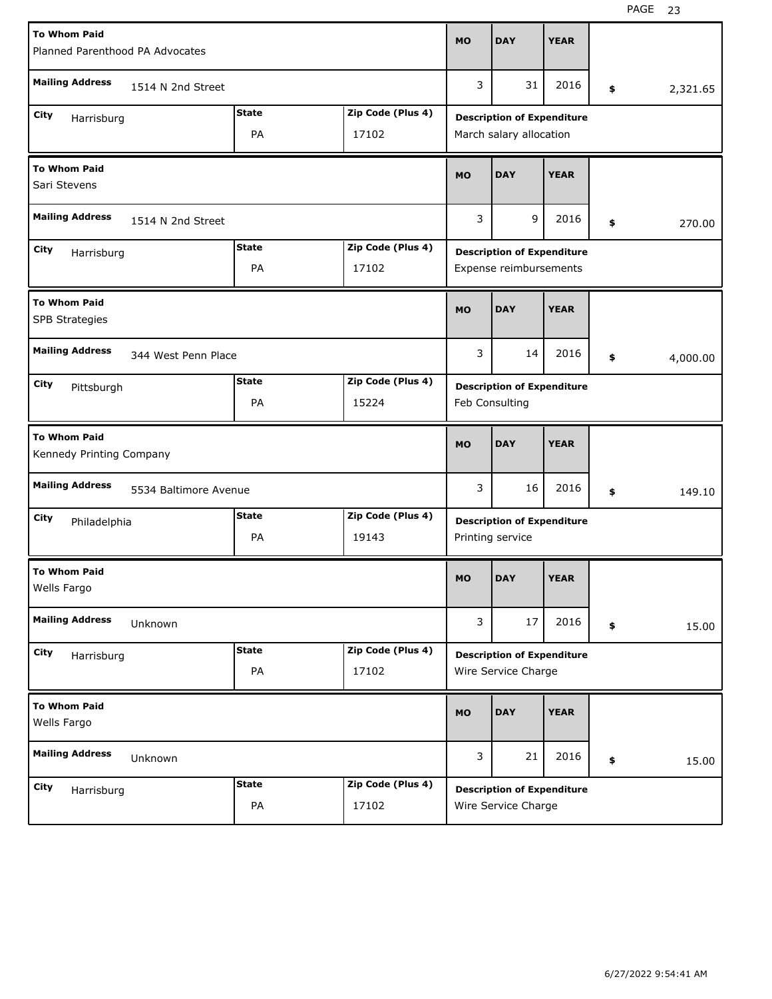| <b>To Whom Paid</b><br>Planned Parenthood PA Advocates |                       |              |                   | <b>MO</b> | <b>DAY</b>                        | <b>YEAR</b> |                |
|--------------------------------------------------------|-----------------------|--------------|-------------------|-----------|-----------------------------------|-------------|----------------|
|                                                        |                       |              |                   |           |                                   |             |                |
| <b>Mailing Address</b>                                 | 1514 N 2nd Street     |              |                   | 3         | 31                                | 2016        | \$<br>2,321.65 |
| City<br>Harrisburg                                     |                       | <b>State</b> | Zip Code (Plus 4) |           | <b>Description of Expenditure</b> |             |                |
|                                                        |                       | PA           | 17102             |           | March salary allocation           |             |                |
| <b>To Whom Paid</b><br>Sari Stevens                    |                       |              |                   | <b>MO</b> | <b>DAY</b>                        | <b>YEAR</b> |                |
| <b>Mailing Address</b>                                 | 1514 N 2nd Street     |              |                   | 3         | 9                                 | 2016        | \$<br>270.00   |
| City<br>Harrisburg                                     |                       | <b>State</b> | Zip Code (Plus 4) |           | <b>Description of Expenditure</b> |             |                |
|                                                        |                       | PA           | 17102             |           | Expense reimbursements            |             |                |
| <b>To Whom Paid</b><br><b>SPB Strategies</b>           |                       |              |                   | <b>MO</b> | <b>DAY</b>                        | <b>YEAR</b> |                |
| <b>Mailing Address</b>                                 | 344 West Penn Place   |              |                   | 3         | 14                                | 2016        | \$<br>4,000.00 |
| City<br>Pittsburgh                                     |                       | <b>State</b> | Zip Code (Plus 4) |           | <b>Description of Expenditure</b> |             |                |
|                                                        |                       | PA           | 15224             |           | Feb Consulting                    |             |                |
|                                                        |                       |              |                   |           |                                   |             |                |
| <b>To Whom Paid</b><br>Kennedy Printing Company        |                       |              |                   | <b>MO</b> | <b>DAY</b>                        | <b>YEAR</b> |                |
| <b>Mailing Address</b>                                 | 5534 Baltimore Avenue |              |                   | 3         | 16                                | 2016        | \$<br>149.10   |
| City<br>Philadelphia                                   |                       | <b>State</b> | Zip Code (Plus 4) |           | <b>Description of Expenditure</b> |             |                |
|                                                        |                       | PA           | 19143             |           | Printing service                  |             |                |
| <b>To Whom Paid</b><br>Wells Fargo                     |                       |              |                   | <b>MO</b> | <b>DAY</b>                        | <b>YEAR</b> |                |
| <b>Mailing Address</b>                                 | Unknown               |              |                   | 3         | 17                                | 2016        | \$<br>15.00    |
| City<br>Harrisburg                                     |                       | <b>State</b> | Zip Code (Plus 4) |           | <b>Description of Expenditure</b> |             |                |
|                                                        |                       | PA           | 17102             |           | Wire Service Charge               |             |                |
| <b>To Whom Paid</b><br>Wells Fargo                     |                       |              |                   | <b>MO</b> | <b>DAY</b>                        | <b>YEAR</b> |                |
| <b>Mailing Address</b>                                 | Unknown               |              |                   | 3         | 21                                | 2016        | \$<br>15.00    |
| City<br>Harrisburg                                     |                       | <b>State</b> | Zip Code (Plus 4) |           | <b>Description of Expenditure</b> |             |                |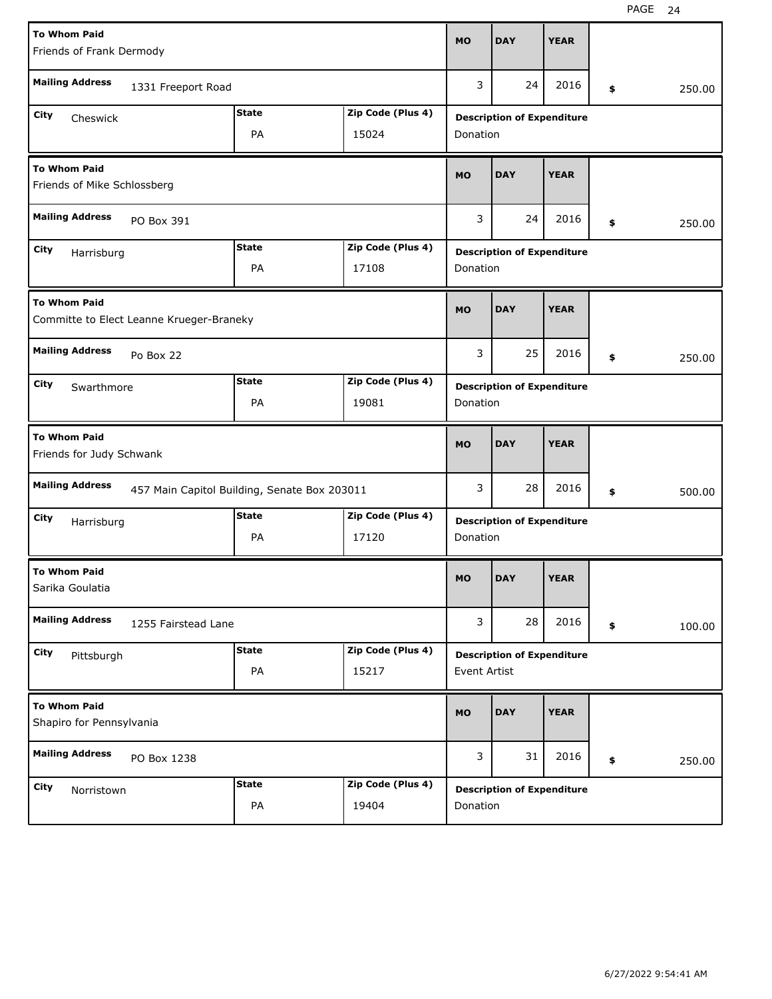| <b>To Whom Paid</b>                                |                                          |                                              |                   | <b>MO</b>    | <b>DAY</b>                        | <b>YEAR</b> |              |
|----------------------------------------------------|------------------------------------------|----------------------------------------------|-------------------|--------------|-----------------------------------|-------------|--------------|
| Friends of Frank Dermody                           |                                          |                                              |                   |              |                                   |             |              |
| <b>Mailing Address</b>                             | 1331 Freeport Road                       |                                              |                   | 3            | 24                                | 2016        | \$<br>250.00 |
| City<br>Cheswick                                   |                                          | <b>State</b>                                 | Zip Code (Plus 4) |              | <b>Description of Expenditure</b> |             |              |
|                                                    |                                          | PA                                           | 15024             | Donation     |                                   |             |              |
| <b>To Whom Paid</b><br>Friends of Mike Schlossberg |                                          |                                              |                   | <b>MO</b>    | <b>DAY</b>                        | <b>YEAR</b> |              |
| <b>Mailing Address</b>                             | PO Box 391                               |                                              |                   | 3            | 24                                | 2016        | \$<br>250.00 |
| City<br>Harrisburg                                 |                                          | <b>State</b>                                 | Zip Code (Plus 4) |              | <b>Description of Expenditure</b> |             |              |
|                                                    |                                          | PA                                           | 17108             | Donation     |                                   |             |              |
| <b>To Whom Paid</b>                                | Committe to Elect Leanne Krueger-Braneky |                                              |                   | <b>MO</b>    | <b>DAY</b>                        | <b>YEAR</b> |              |
| <b>Mailing Address</b>                             | Po Box 22                                |                                              |                   | 3            | 25                                | 2016        | \$<br>250.00 |
| City<br>Swarthmore                                 |                                          | <b>State</b>                                 | Zip Code (Plus 4) |              | <b>Description of Expenditure</b> |             |              |
|                                                    |                                          | PA                                           | 19081             | Donation     |                                   |             |              |
|                                                    |                                          |                                              |                   |              |                                   |             |              |
| <b>To Whom Paid</b><br>Friends for Judy Schwank    |                                          |                                              |                   | <b>MO</b>    | <b>DAY</b>                        | <b>YEAR</b> |              |
| <b>Mailing Address</b>                             |                                          | 457 Main Capitol Building, Senate Box 203011 |                   | 3            | 28                                | 2016        | \$<br>500.00 |
| City<br>Harrisburg                                 |                                          | <b>State</b>                                 | Zip Code (Plus 4) |              | <b>Description of Expenditure</b> |             |              |
|                                                    |                                          | PA                                           | 17120             | Donation     |                                   |             |              |
| <b>To Whom Paid</b><br>Sarika Goulatia             |                                          |                                              |                   | <b>MO</b>    | <b>DAY</b>                        | <b>YEAR</b> |              |
| <b>Mailing Address</b>                             | 1255 Fairstead Lane                      |                                              |                   | 3            | 28                                | 2016        | \$<br>100.00 |
| City<br>Pittsburgh                                 |                                          | <b>State</b>                                 | Zip Code (Plus 4) |              | <b>Description of Expenditure</b> |             |              |
|                                                    |                                          | PA                                           | 15217             | Event Artist |                                   |             |              |
| <b>To Whom Paid</b><br>Shapiro for Pennsylvania    |                                          |                                              |                   | <b>MO</b>    | <b>DAY</b>                        | <b>YEAR</b> |              |
| <b>Mailing Address</b>                             | PO Box 1238                              |                                              |                   | 3            | 31                                | 2016        | \$<br>250.00 |
| City<br>Norristown                                 |                                          | <b>State</b>                                 | Zip Code (Plus 4) |              | <b>Description of Expenditure</b> |             |              |